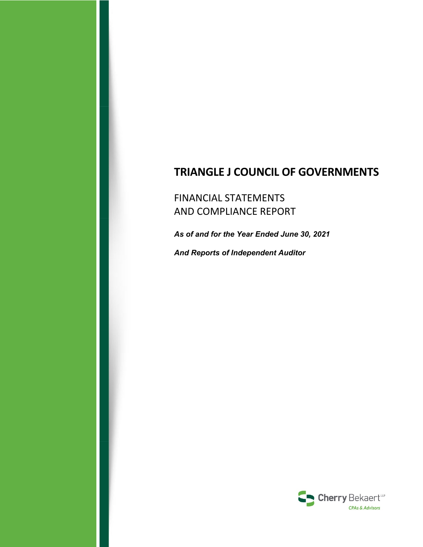FINANCIAL STATEMENTS AND COMPLIANCE REPORT

*As of and for the Year Ended June 30, 2021* 

*And Reports of Independent Auditor* 

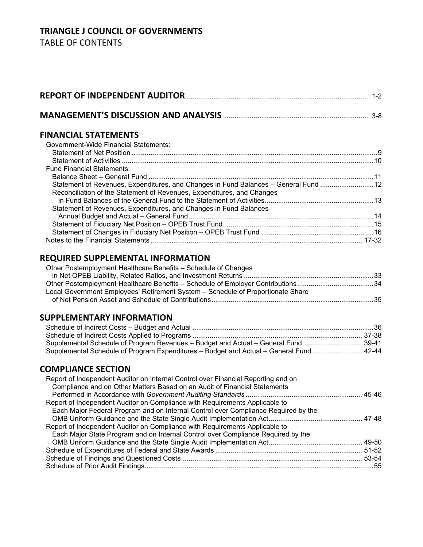**TRIANGLE J COUNCIL OF GOVERNMENTS** TABLE OF CONTENTS

| <b>FINANCIAL STATEMENTS</b>                                                         |  |
|-------------------------------------------------------------------------------------|--|
| Government-Wide Financial Statements:                                               |  |
|                                                                                     |  |
|                                                                                     |  |
| <b>Fund Financial Statements:</b>                                                   |  |
|                                                                                     |  |
| Statement of Revenues, Expenditures, and Changes in Fund Balances - General Fund 12 |  |
| Reconciliation of the Statement of Revenues, Expenditures, and Changes              |  |
|                                                                                     |  |
| Statement of Revenues, Expenditures, and Changes in Fund Balances                   |  |
|                                                                                     |  |
|                                                                                     |  |
|                                                                                     |  |
|                                                                                     |  |

## **REQUIRED SUPPLEMENTAL INFORMATION**

| Other Postemployment Healthcare Benefits – Schedule of Changes                  |  |
|---------------------------------------------------------------------------------|--|
|                                                                                 |  |
| Other Postemployment Healthcare Benefits – Schedule of Employer Contributions34 |  |
| Local Government Employees' Retirement System – Schedule of Proportionate Share |  |
|                                                                                 |  |
|                                                                                 |  |

## **SUPPLEMENTARY INFORMATION**

| Supplemental Schedule of Program Revenues - Budget and Actual - General Fund  39-41     |  |
|-----------------------------------------------------------------------------------------|--|
| Supplemental Schedule of Program Expenditures – Budget and Actual – General Fund  42-44 |  |

## **COMPLIANCE SECTION**

| Report of Independent Auditor on Internal Control over Financial Reporting and on  |  |
|------------------------------------------------------------------------------------|--|
| Compliance and on Other Matters Based on an Audit of Financial Statements          |  |
|                                                                                    |  |
| Report of Independent Auditor on Compliance with Requirements Applicable to        |  |
| Each Major Federal Program and on Internal Control over Compliance Required by the |  |
|                                                                                    |  |
| Report of Independent Auditor on Compliance with Requirements Applicable to        |  |
| Each Major State Program and on Internal Control over Compliance Required by the   |  |
|                                                                                    |  |
|                                                                                    |  |
|                                                                                    |  |
|                                                                                    |  |
|                                                                                    |  |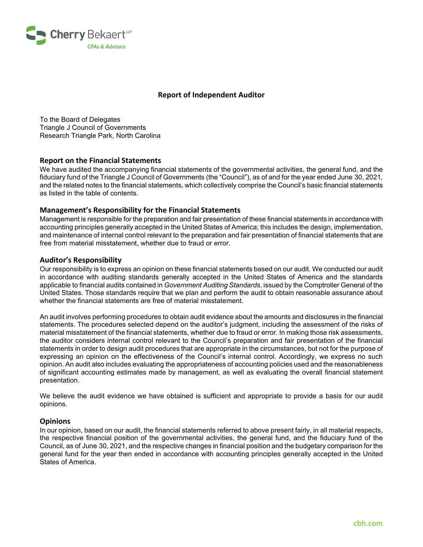

### **Report of Independent Auditor**

To the Board of Delegates Triangle J Council of Governments Research Triangle Park, North Carolina

### **Report on the Financial Statements**

We have audited the accompanying financial statements of the governmental activities, the general fund, and the fiduciary fund of the Triangle J Council of Governments (the "Council"), as of and for the year ended June 30, 2021, and the related notes to the financial statements, which collectively comprise the Council's basic financial statements as listed in the table of contents.

### **Management's Responsibility for the Financial Statements**

Management is responsible for the preparation and fair presentation of these financial statements in accordance with accounting principles generally accepted in the United States of America; this includes the design, implementation, and maintenance of internal control relevant to the preparation and fair presentation of financial statements that are free from material misstatement, whether due to fraud or error.

#### **Auditor's Responsibility**

Our responsibility is to express an opinion on these financial statements based on our audit. We conducted our audit in accordance with auditing standards generally accepted in the United States of America and the standards applicable to financial audits contained in *Government Auditing Standards*, issued by the Comptroller General of the United States. Those standards require that we plan and perform the audit to obtain reasonable assurance about whether the financial statements are free of material misstatement.

An audit involves performing procedures to obtain audit evidence about the amounts and disclosures in the financial statements. The procedures selected depend on the auditor's judgment, including the assessment of the risks of material misstatement of the financial statements, whether due to fraud or error. In making those risk assessments, the auditor considers internal control relevant to the Council's preparation and fair presentation of the financial statements in order to design audit procedures that are appropriate in the circumstances, but not for the purpose of expressing an opinion on the effectiveness of the Council's internal control. Accordingly, we express no such opinion. An audit also includes evaluating the appropriateness of accounting policies used and the reasonableness of significant accounting estimates made by management, as well as evaluating the overall financial statement presentation.

We believe the audit evidence we have obtained is sufficient and appropriate to provide a basis for our audit opinions.

### **Opinions**

In our opinion, based on our audit, the financial statements referred to above present fairly, in all material respects, the respective financial position of the governmental activities, the general fund, and the fiduciary fund of the Council, as of June 30, 2021, and the respective changes in financial position and the budgetary comparison for the general fund for the year then ended in accordance with accounting principles generally accepted in the United States of America.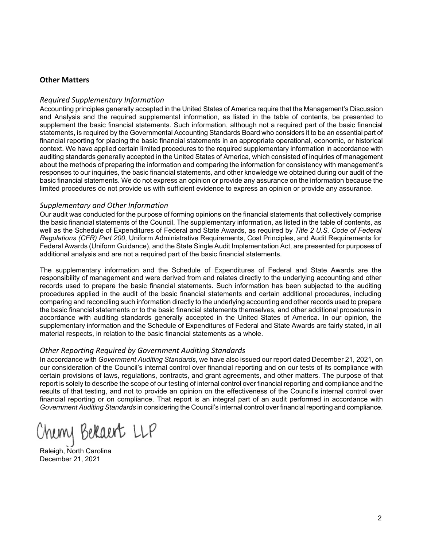### **Other Matters**

#### *Required Supplementary Information*

Accounting principles generally accepted in the United States of America require that the Management's Discussion and Analysis and the required supplemental information, as listed in the table of contents, be presented to supplement the basic financial statements. Such information, although not a required part of the basic financial statements, is required by the Governmental Accounting Standards Board who considers it to be an essential part of financial reporting for placing the basic financial statements in an appropriate operational, economic, or historical context. We have applied certain limited procedures to the required supplementary information in accordance with auditing standards generally accepted in the United States of America, which consisted of inquiries of management about the methods of preparing the information and comparing the information for consistency with management's responses to our inquiries, the basic financial statements, and other knowledge we obtained during our audit of the basic financial statements. We do not express an opinion or provide any assurance on the information because the limited procedures do not provide us with sufficient evidence to express an opinion or provide any assurance.

#### *Supplementary and Other Information*

Our audit was conducted for the purpose of forming opinions on the financial statements that collectively comprise the basic financial statements of the Council. The supplementary information, as listed in the table of contents, as well as the Schedule of Expenditures of Federal and State Awards, as required by *Title 2 U.S. Code of Federal Regulations (CFR) Part 200*, Uniform Administrative Requirements, Cost Principles, and Audit Requirements for Federal Awards (Uniform Guidance), and the State Single Audit Implementation Act, are presented for purposes of additional analysis and are not a required part of the basic financial statements.

The supplementary information and the Schedule of Expenditures of Federal and State Awards are the responsibility of management and were derived from and relates directly to the underlying accounting and other records used to prepare the basic financial statements. Such information has been subjected to the auditing procedures applied in the audit of the basic financial statements and certain additional procedures, including comparing and reconciling such information directly to the underlying accounting and other records used to prepare the basic financial statements or to the basic financial statements themselves, and other additional procedures in accordance with auditing standards generally accepted in the United States of America. In our opinion, the supplementary information and the Schedule of Expenditures of Federal and State Awards are fairly stated, in all material respects, in relation to the basic financial statements as a whole.

#### *Other Reporting Required by Government Auditing Standards*

In accordance with *Government Auditing Standards*, we have also issued our report dated December 21, 2021, on our consideration of the Council's internal control over financial reporting and on our tests of its compliance with certain provisions of laws, regulations, contracts, and grant agreements, and other matters. The purpose of that report is solely to describe the scope of our testing of internal control over financial reporting and compliance and the results of that testing, and not to provide an opinion on the effectiveness of the Council's internal control over financial reporting or on compliance. That report is an integral part of an audit performed in accordance with *Government Auditing Standards* in considering the Council's internal control over financial reporting and compliance.

huny Bekaert LLP

Raleigh, North Carolina December 21, 2021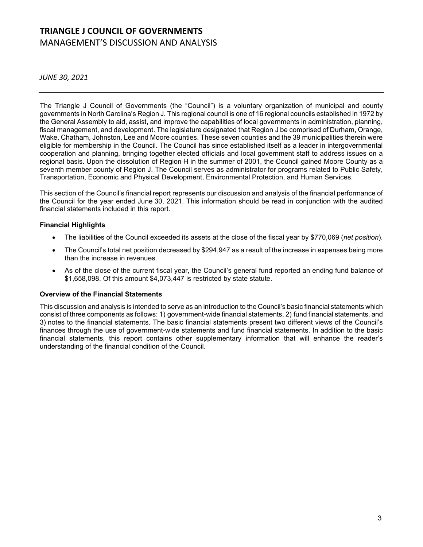*JUNE 30, 2021*

The Triangle J Council of Governments (the "Council") is a voluntary organization of municipal and county governments in North Carolina's Region J. This regional council is one of 16 regional councils established in 1972 by the General Assembly to aid, assist, and improve the capabilities of local governments in administration, planning, fiscal management, and development. The legislature designated that Region J be comprised of Durham, Orange, Wake, Chatham, Johnston, Lee and Moore counties. These seven counties and the 39 municipalities therein were eligible for membership in the Council. The Council has since established itself as a leader in intergovernmental cooperation and planning, bringing together elected officials and local government staff to address issues on a regional basis. Upon the dissolution of Region H in the summer of 2001, the Council gained Moore County as a seventh member county of Region J. The Council serves as administrator for programs related to Public Safety, Transportation, Economic and Physical Development, Environmental Protection, and Human Services.

This section of the Council's financial report represents our discussion and analysis of the financial performance of the Council for the year ended June 30, 2021. This information should be read in conjunction with the audited financial statements included in this report.

### **Financial Highlights**

- The liabilities of the Council exceeded its assets at the close of the fiscal year by \$770,069 (*net position*).
- The Council's total net position decreased by \$294,947 as a result of the increase in expenses being more than the increase in revenues.
- As of the close of the current fiscal year, the Council's general fund reported an ending fund balance of \$1,658,098. Of this amount \$4,073,447 is restricted by state statute.

### **Overview of the Financial Statements**

This discussion and analysis is intended to serve as an introduction to the Council's basic financial statements which consist of three components as follows: 1) government-wide financial statements, 2) fund financial statements, and 3) notes to the financial statements. The basic financial statements present two different views of the Council's finances through the use of government-wide statements and fund financial statements. In addition to the basic financial statements, this report contains other supplementary information that will enhance the reader's understanding of the financial condition of the Council.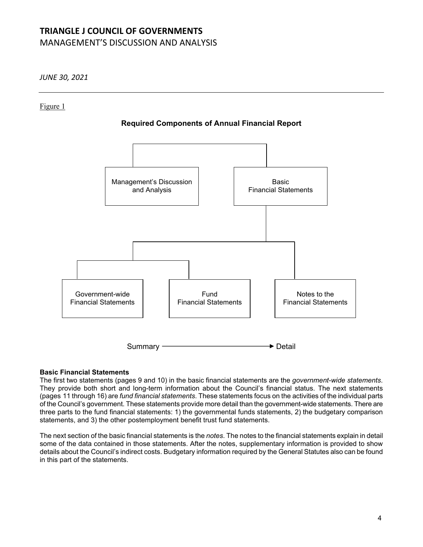## *JUNE 30, 2021*

## Figure 1





### **Basic Financial Statements**

The first two statements (pages 9 and 10) in the basic financial statements are the *government-wide statements*. They provide both short and long-term information about the Council's financial status. The next statements (pages 11 through 16) are *fund financial statements*. These statements focus on the activities of the individual parts of the Council's government. These statements provide more detail than the government-wide statements. There are three parts to the fund financial statements: 1) the governmental funds statements, 2) the budgetary comparison statements, and 3) the other postemployment benefit trust fund statements.

The next section of the basic financial statements is the *notes*. The notes to the financial statements explain in detail some of the data contained in those statements. After the notes, supplementary information is provided to show details about the Council's indirect costs. Budgetary information required by the General Statutes also can be found in this part of the statements.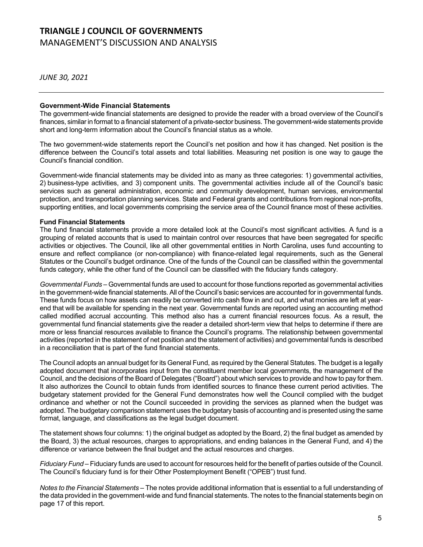*JUNE 30, 2021*

#### **Government-Wide Financial Statements**

The government-wide financial statements are designed to provide the reader with a broad overview of the Council's finances, similar in format to a financial statement of a private-sector business. The government-wide statements provide short and long-term information about the Council's financial status as a whole.

The two government-wide statements report the Council's net position and how it has changed. Net position is the difference between the Council's total assets and total liabilities. Measuring net position is one way to gauge the Council's financial condition.

Government-wide financial statements may be divided into as many as three categories: 1) governmental activities, 2) business-type activities, and 3) component units. The governmental activities include all of the Council's basic services such as general administration, economic and community development, human services, environmental protection, and transportation planning services. State and Federal grants and contributions from regional non-profits, supporting entities, and local governments comprising the service area of the Council finance most of these activities.

### **Fund Financial Statements**

The fund financial statements provide a more detailed look at the Council's most significant activities. A fund is a grouping of related accounts that is used to maintain control over resources that have been segregated for specific activities or objectives. The Council, like all other governmental entities in North Carolina, uses fund accounting to ensure and reflect compliance (or non-compliance) with finance-related legal requirements, such as the General Statutes or the Council's budget ordinance. One of the funds of the Council can be classified within the governmental funds category, while the other fund of the Council can be classified with the fiduciary funds category.

*Governmental Funds* – Governmental funds are used to account for those functions reported as governmental activities in the government-wide financial statements. All of the Council's basic services are accounted for in governmental funds. These funds focus on how assets can readily be converted into cash flow in and out, and what monies are left at yearend that will be available for spending in the next year. Governmental funds are reported using an accounting method called modified accrual accounting. This method also has a current financial resources focus. As a result, the governmental fund financial statements give the reader a detailed short-term view that helps to determine if there are more or less financial resources available to finance the Council's programs. The relationship between governmental activities (reported in the statement of net position and the statement of activities) and governmental funds is described in a reconciliation that is part of the fund financial statements.

The Council adopts an annual budget for its General Fund, as required by the General Statutes. The budget is a legally adopted document that incorporates input from the constituent member local governments, the management of the Council, and the decisions of the Board of Delegates ("Board") about which services to provide and how to pay for them. It also authorizes the Council to obtain funds from identified sources to finance these current period activities. The budgetary statement provided for the General Fund demonstrates how well the Council complied with the budget ordinance and whether or not the Council succeeded in providing the services as planned when the budget was adopted. The budgetary comparison statement uses the budgetary basis of accounting and is presented using the same format, language, and classifications as the legal budget document.

The statement shows four columns: 1) the original budget as adopted by the Board, 2) the final budget as amended by the Board, 3) the actual resources, charges to appropriations, and ending balances in the General Fund, and 4) the difference or variance between the final budget and the actual resources and charges.

*Fiduciary Fund* – Fiduciary funds are used to account for resources held for the benefit of parties outside of the Council. The Council's fiduciary fund is for their Other Postemployment Benefit ("OPEB") trust fund.

*Notes to the Financial Statements* – The notes provide additional information that is essential to a full understanding of the data provided in the government-wide and fund financial statements. The notes to the financial statements begin on page 17 of this report.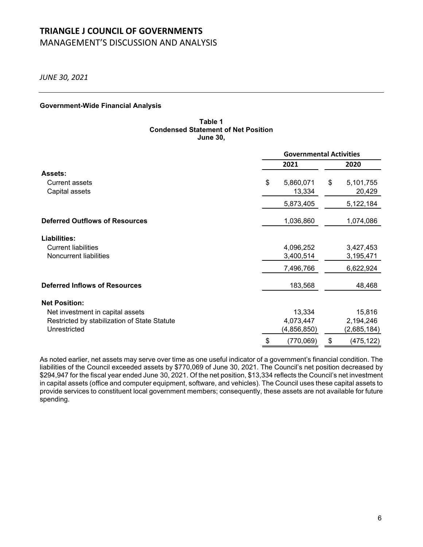*JUNE 30, 2021*

### **Government-Wide Financial Analysis**

#### **Table 1 Condensed Statement of Net Position June 30,**

|                                              | <b>Governmental Activities</b> |             |    |             |
|----------------------------------------------|--------------------------------|-------------|----|-------------|
|                                              |                                | 2021        |    | 2020        |
| <b>Assets:</b>                               |                                |             |    |             |
| <b>Current assets</b>                        | \$                             | 5,860,071   | \$ | 5,101,755   |
| Capital assets                               |                                | 13,334      |    | 20,429      |
|                                              |                                | 5,873,405   |    | 5,122,184   |
| <b>Deferred Outflows of Resources</b>        |                                | 1,036,860   |    | 1,074,086   |
| Liabilities:                                 |                                |             |    |             |
| <b>Current liabilities</b>                   |                                | 4,096,252   |    | 3,427,453   |
| Noncurrent liabilities                       |                                | 3,400,514   |    | 3,195,471   |
|                                              |                                | 7,496,766   |    | 6,622,924   |
| <b>Deferred Inflows of Resources</b>         |                                | 183,568     |    | 48,468      |
| <b>Net Position:</b>                         |                                |             |    |             |
| Net investment in capital assets             |                                | 13,334      |    | 15,816      |
| Restricted by stabilization of State Statute |                                | 4,073,447   |    | 2,194,246   |
| Unrestricted                                 |                                | (4,856,850) |    | (2,685,184) |
|                                              | \$                             | (770,069)   | \$ | (475, 122)  |

As noted earlier, net assets may serve over time as one useful indicator of a government's financial condition. The liabilities of the Council exceeded assets by \$770,069 of June 30, 2021. The Council's net position decreased by \$294,947 for the fiscal year ended June 30, 2021. Of the net position, \$13,334 reflects the Council's net investment in capital assets (office and computer equipment, software, and vehicles). The Council uses these capital assets to provide services to constituent local government members; consequently, these assets are not available for future spending.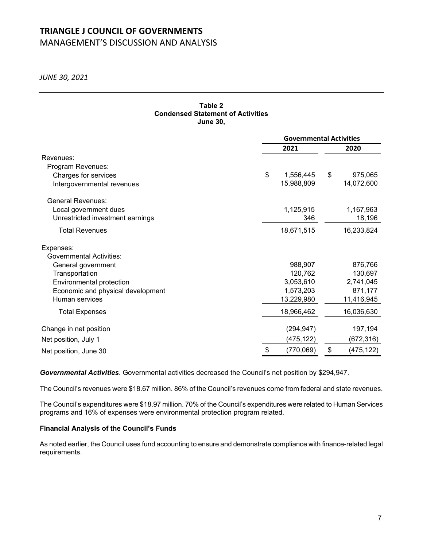*JUNE 30, 2021*

#### **Table 2 Condensed Statement of Activities June 30,**

|                                           | <b>Governmental Activities</b> |            |    |            |
|-------------------------------------------|--------------------------------|------------|----|------------|
|                                           |                                | 2021       |    | 2020       |
| Revenues:                                 |                                |            |    |            |
| Program Revenues:<br>Charges for services | \$                             | 1,556,445  | \$ | 975,065    |
| Intergovernmental revenues                |                                | 15,988,809 |    | 14,072,600 |
| <b>General Revenues:</b>                  |                                |            |    |            |
| Local government dues                     |                                | 1,125,915  |    | 1,167,963  |
| Unrestricted investment earnings          |                                | 346        |    | 18,196     |
| <b>Total Revenues</b>                     |                                | 18,671,515 |    | 16,233,824 |
| Expenses:                                 |                                |            |    |            |
| <b>Governmental Activities:</b>           |                                |            |    |            |
| General government                        |                                | 988,907    |    | 876,766    |
| Transportation                            |                                | 120,762    |    | 130,697    |
| Environmental protection                  |                                | 3,053,610  |    | 2,741,045  |
| Economic and physical development         |                                | 1,573,203  |    | 871,177    |
| Human services                            |                                | 13,229,980 |    | 11,416,945 |
| <b>Total Expenses</b>                     |                                | 18,966,462 |    | 16,036,630 |
| Change in net position                    |                                | (294, 947) |    | 197,194    |
| Net position, July 1                      |                                | (475,122)  |    | (672,316)  |
| Net position, June 30                     | \$                             | (770,069)  | \$ | (475, 122) |

*Governmental Activities*. Governmental activities decreased the Council's net position by \$294,947.

The Council's revenues were \$18.67 million. 86% of the Council's revenues come from federal and state revenues.

The Council's expenditures were \$18.97 million. 70% of the Council's expenditures were related to Human Services programs and 16% of expenses were environmental protection program related.

### **Financial Analysis of the Council's Funds**

As noted earlier, the Council uses fund accounting to ensure and demonstrate compliance with finance-related legal requirements.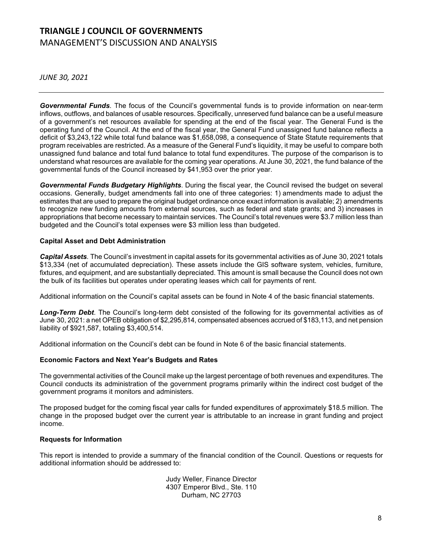*JUNE 30, 2021*

*Governmental Funds*. The focus of the Council's governmental funds is to provide information on near-term inflows, outflows, and balances of usable resources. Specifically, unreserved fund balance can be a useful measure of a government's net resources available for spending at the end of the fiscal year. The General Fund is the operating fund of the Council. At the end of the fiscal year, the General Fund unassigned fund balance reflects a deficit of \$3,243,122 while total fund balance was \$1,658,098, a consequence of State Statute requirements that program receivables are restricted. As a measure of the General Fund's liquidity, it may be useful to compare both unassigned fund balance and total fund balance to total fund expenditures. The purpose of the comparison is to understand what resources are available for the coming year operations. At June 30, 2021, the fund balance of the governmental funds of the Council increased by \$41,953 over the prior year.

*Governmental Funds Budgetary Highlights*. During the fiscal year, the Council revised the budget on several occasions. Generally, budget amendments fall into one of three categories: 1) amendments made to adjust the estimates that are used to prepare the original budget ordinance once exact information is available; 2) amendments to recognize new funding amounts from external sources, such as federal and state grants; and 3) increases in appropriations that become necessary to maintain services. The Council's total revenues were \$3.7 million less than budgeted and the Council's total expenses were \$3 million less than budgeted.

### **Capital Asset and Debt Administration**

*Capital Assets.* The Council's investment in capital assets for its governmental activities as of June 30, 2021 totals \$13,334 (net of accumulated depreciation). These assets include the GIS software system, vehicles, furniture, fixtures, and equipment, and are substantially depreciated. This amount is small because the Council does not own the bulk of its facilities but operates under operating leases which call for payments of rent.

Additional information on the Council's capital assets can be found in Note 4 of the basic financial statements.

*Long-Term Debt*. The Council's long-term debt consisted of the following for its governmental activities as of June 30, 2021: a net OPEB obligation of \$2,295,814, compensated absences accrued of \$183,113, and net pension liability of \$921,587, totaling \$3,400,514.

Additional information on the Council's debt can be found in Note 6 of the basic financial statements.

### **Economic Factors and Next Year's Budgets and Rates**

The governmental activities of the Council make up the largest percentage of both revenues and expenditures. The Council conducts its administration of the government programs primarily within the indirect cost budget of the government programs it monitors and administers.

The proposed budget for the coming fiscal year calls for funded expenditures of approximately \$18.5 million. The change in the proposed budget over the current year is attributable to an increase in grant funding and project income.

### **Requests for Information**

This report is intended to provide a summary of the financial condition of the Council. Questions or requests for additional information should be addressed to:

> Judy Weller, Finance Director 4307 Emperor Blvd., Ste. 110 Durham, NC 27703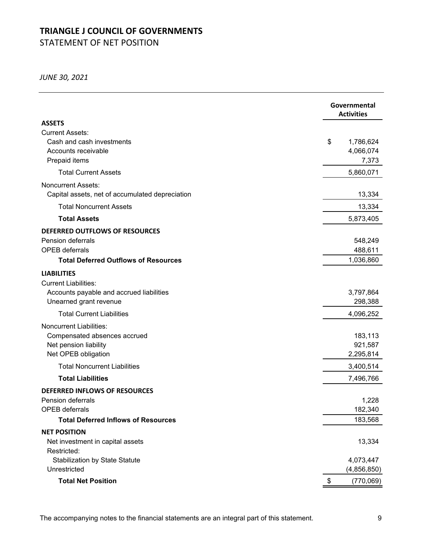## **TRIANGLE J COUNCIL OF GOVERNMENTS** STATEMENT OF NET POSITION

*JUNE 30, 2021*

|                                                                                                                             | Governmental<br><b>Activities</b> |                                 |
|-----------------------------------------------------------------------------------------------------------------------------|-----------------------------------|---------------------------------|
| <b>ASSETS</b>                                                                                                               |                                   |                                 |
| <b>Current Assets:</b><br>Cash and cash investments<br>Accounts receivable<br>Prepaid items                                 | \$                                | 1,786,624<br>4,066,074<br>7,373 |
| <b>Total Current Assets</b>                                                                                                 |                                   | 5,860,071                       |
| <b>Noncurrent Assets:</b><br>Capital assets, net of accumulated depreciation                                                |                                   | 13,334                          |
| <b>Total Noncurrent Assets</b>                                                                                              |                                   | 13,334                          |
| <b>Total Assets</b>                                                                                                         |                                   | 5,873,405                       |
| DEFERRED OUTFLOWS OF RESOURCES<br>Pension deferrals<br><b>OPEB</b> deferrals<br><b>Total Deferred Outflows of Resources</b> |                                   | 548,249<br>488,611<br>1,036,860 |
| <b>LIABILITIES</b>                                                                                                          |                                   |                                 |
| <b>Current Liabilities:</b><br>Accounts payable and accrued liabilities<br>Unearned grant revenue                           |                                   | 3,797,864<br>298,388            |
| <b>Total Current Liabilities</b>                                                                                            |                                   | 4,096,252                       |
| Noncurrent Liabilities:<br>Compensated absences accrued<br>Net pension liability<br>Net OPEB obligation                     |                                   | 183,113<br>921,587<br>2,295,814 |
| <b>Total Noncurrent Liabilities</b>                                                                                         |                                   | 3,400,514                       |
| <b>Total Liabilities</b>                                                                                                    |                                   | 7,496,766                       |
| <b>DEFERRED INFLOWS OF RESOURCES</b><br>Pension deferrals<br>OPEB deferrals<br><b>Total Deferred Inflows of Resources</b>   |                                   | 1,228<br>182,340<br>183,568     |
| <b>NET POSITION</b><br>Net investment in capital assets<br>Restricted:                                                      |                                   | 13,334                          |
| <b>Stabilization by State Statute</b><br>Unrestricted                                                                       |                                   | 4,073,447<br>(4,856,850)        |
| <b>Total Net Position</b>                                                                                                   | \$                                | (770,069)                       |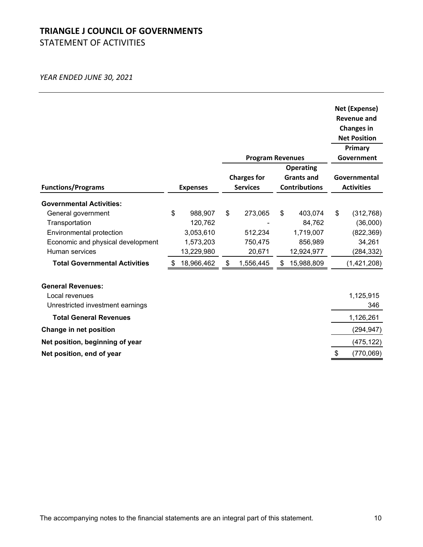STATEMENT OF ACTIVITIES

| <b>Functions/Programs</b>            |     | <b>Expenses</b> | <b>Program Revenues</b><br><b>Charges for</b><br><b>Services</b> | <b>Operating</b><br><b>Grants and</b><br><b>Contributions</b> | Net (Expense)<br><b>Revenue and</b><br><b>Changes in</b><br><b>Net Position</b><br>Primary<br>Government<br>Governmental<br><b>Activities</b> |
|--------------------------------------|-----|-----------------|------------------------------------------------------------------|---------------------------------------------------------------|-----------------------------------------------------------------------------------------------------------------------------------------------|
| <b>Governmental Activities:</b>      |     |                 |                                                                  |                                                               |                                                                                                                                               |
| General government                   | \$  | 988,907         | \$<br>273,065                                                    | \$<br>403,074                                                 | \$<br>(312, 768)                                                                                                                              |
| Transportation                       |     | 120,762         |                                                                  | 84,762                                                        | (36,000)                                                                                                                                      |
| Environmental protection             |     | 3,053,610       | 512,234                                                          | 1,719,007                                                     | (822, 369)                                                                                                                                    |
| Economic and physical development    |     | 1,573,203       | 750,475                                                          | 856,989                                                       | 34,261                                                                                                                                        |
| Human services                       |     | 13,229,980      | 20,671                                                           | 12,924,977                                                    | (284, 332)                                                                                                                                    |
| <b>Total Governmental Activities</b> | \$. | 18,966,462      | \$<br>1,556,445                                                  | \$<br>15,988,809                                              | (1,421,208)                                                                                                                                   |
| <b>General Revenues:</b>             |     |                 |                                                                  |                                                               |                                                                                                                                               |
| Local revenues                       |     |                 |                                                                  |                                                               | 1,125,915                                                                                                                                     |
| Unrestricted investment earnings     |     |                 |                                                                  |                                                               | 346                                                                                                                                           |
| <b>Total General Revenues</b>        |     |                 |                                                                  |                                                               | 1,126,261                                                                                                                                     |
| Change in net position               |     |                 |                                                                  |                                                               | (294, 947)                                                                                                                                    |
| Net position, beginning of year      |     |                 |                                                                  |                                                               | (475, 122)                                                                                                                                    |
| Net position, end of year            |     |                 |                                                                  |                                                               | (770,069)                                                                                                                                     |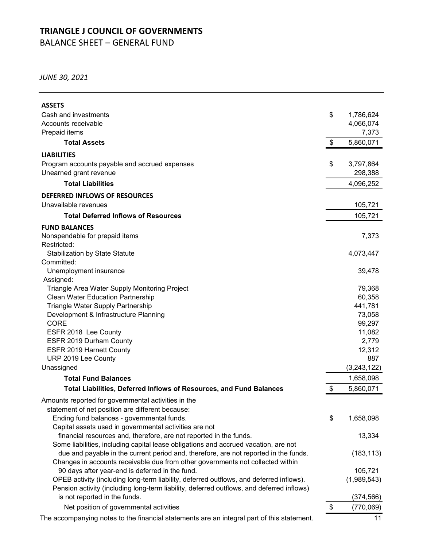# BALANCE SHEET – GENERAL FUND

*JUNE 30, 2021*

| <b>ASSETS</b>                                                                                                                              |                   |
|--------------------------------------------------------------------------------------------------------------------------------------------|-------------------|
| Cash and investments                                                                                                                       | \$<br>1,786,624   |
| Accounts receivable                                                                                                                        | 4,066,074         |
| Prepaid items                                                                                                                              | 7,373             |
| <b>Total Assets</b>                                                                                                                        | \$<br>5,860,071   |
| <b>LIABILITIES</b>                                                                                                                         |                   |
| Program accounts payable and accrued expenses                                                                                              | \$<br>3,797,864   |
| Unearned grant revenue                                                                                                                     | 298,388           |
| <b>Total Liabilities</b>                                                                                                                   | 4,096,252         |
| <b>DEFERRED INFLOWS OF RESOURCES</b>                                                                                                       |                   |
| Unavailable revenues                                                                                                                       | 105,721           |
| <b>Total Deferred Inflows of Resources</b>                                                                                                 | 105,721           |
| <b>FUND BALANCES</b>                                                                                                                       |                   |
| Nonspendable for prepaid items                                                                                                             | 7,373             |
| Restricted:                                                                                                                                |                   |
| <b>Stabilization by State Statute</b>                                                                                                      | 4,073,447         |
| Committed:                                                                                                                                 |                   |
| Unemployment insurance                                                                                                                     | 39,478            |
| Assigned:                                                                                                                                  |                   |
| Triangle Area Water Supply Monitoring Project                                                                                              | 79,368            |
| <b>Clean Water Education Partnership</b>                                                                                                   | 60,358            |
| Triangle Water Supply Partnership<br>Development & Infrastructure Planning                                                                 | 441,781<br>73,058 |
| <b>CORE</b>                                                                                                                                | 99,297            |
| ESFR 2018 Lee County                                                                                                                       | 11,082            |
| ESFR 2019 Durham County                                                                                                                    | 2,779             |
| ESFR 2019 Harnett County                                                                                                                   | 12,312            |
| URP 2019 Lee County                                                                                                                        | 887               |
| Unassigned                                                                                                                                 | (3,243,122)       |
| <b>Total Fund Balances</b>                                                                                                                 | 1,658,098         |
| <b>Total Liabilities, Deferred Inflows of Resources, and Fund Balances</b>                                                                 | \$<br>5,860,071   |
| Amounts reported for governmental activities in the                                                                                        |                   |
| statement of net position are different because:                                                                                           |                   |
| Ending fund balances - governmental funds.                                                                                                 | \$<br>1,658,098   |
| Capital assets used in governmental activities are not                                                                                     |                   |
| financial resources and, therefore, are not reported in the funds.                                                                         | 13,334            |
| Some liabilities, including capital lease obligations and accrued vacation, are not                                                        |                   |
| due and payable in the current period and, therefore, are not reported in the funds.                                                       | (183, 113)        |
| Changes in accounts receivable due from other governments not collected within                                                             | 105,721           |
| 90 days after year-end is deferred in the fund.<br>OPEB activity (including long-term liability, deferred outflows, and deferred inflows). | (1,989,543)       |
| Pension activity (including long-term liability, deferred outflows, and deferred inflows)                                                  |                   |
| is not reported in the funds.                                                                                                              | (374, 566)        |
| Net position of governmental activities                                                                                                    | \$<br>(770,069)   |
| The accompanying notes to the financial statements are an integral part of this statement.                                                 | 11                |
|                                                                                                                                            |                   |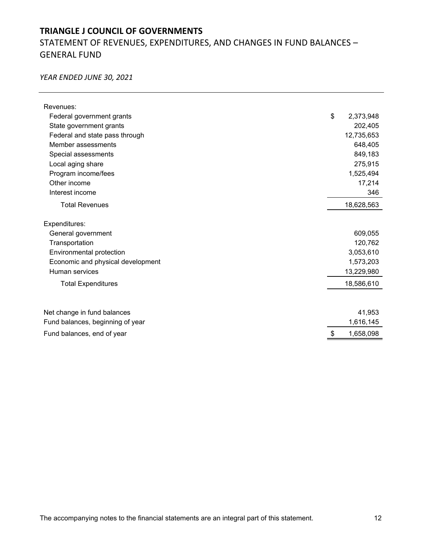## STATEMENT OF REVENUES, EXPENDITURES, AND CHANGES IN FUND BALANCES – GENERAL FUND

| Revenues:                         |                 |
|-----------------------------------|-----------------|
| Federal government grants         | \$<br>2,373,948 |
| State government grants           | 202,405         |
| Federal and state pass through    | 12,735,653      |
| Member assessments                | 648,405         |
| Special assessments               | 849,183         |
| Local aging share                 | 275,915         |
| Program income/fees               | 1,525,494       |
| Other income                      | 17,214          |
| Interest income                   | 346             |
| <b>Total Revenues</b>             | 18,628,563      |
| Expenditures:                     |                 |
| General government                | 609,055         |
| Transportation                    | 120,762         |
| Environmental protection          | 3,053,610       |
| Economic and physical development | 1,573,203       |
| Human services                    | 13,229,980      |
| <b>Total Expenditures</b>         | 18,586,610      |
|                                   |                 |
| Net change in fund balances       | 41,953          |
| Fund balances, beginning of year  | 1,616,145       |
| Fund balances, end of year        | \$<br>1,658,098 |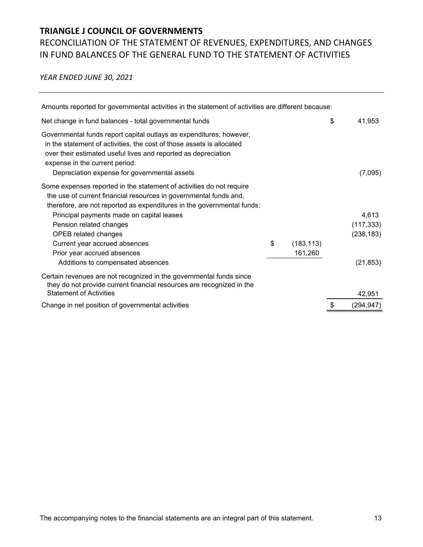## RECONCILIATION OF THE STATEMENT OF REVENUES, EXPENDITURES, AND CHANGES IN FUND BALANCES OF THE GENERAL FUND TO THE STATEMENT OF ACTIVITIES

| Amounts reported for governmental activities in the statement of activities are different because:                                                                                                                                                                                               |              |
|--------------------------------------------------------------------------------------------------------------------------------------------------------------------------------------------------------------------------------------------------------------------------------------------------|--------------|
| Net change in fund balances - total governmental funds                                                                                                                                                                                                                                           | \$<br>41,953 |
| Governmental funds report capital outlays as expenditures; however,<br>in the statement of activities, the cost of those assets is allocated<br>over their estimated useful lives and reported as depreciation<br>expense in the current period:<br>Depreciation expense for governmental assets | (7,095)      |
| Some expenses reported in the statement of activities do not require<br>the use of current financial resources in governmental funds and,<br>therefore, are not reported as expenditures in the governmental funds:                                                                              |              |
| Principal payments made on capital leases                                                                                                                                                                                                                                                        | 4,613        |
| Pension related changes                                                                                                                                                                                                                                                                          | (117, 333)   |
| OPEB related changes                                                                                                                                                                                                                                                                             | (238, 183)   |
| \$<br>(183, 113)<br>Current year accrued absences                                                                                                                                                                                                                                                |              |
| 161,260<br>Prior year accrued absences                                                                                                                                                                                                                                                           |              |
| Additions to compensated absences                                                                                                                                                                                                                                                                | (21, 853)    |
| Certain revenues are not recognized in the governmental funds since<br>they do not provide current financial resources are recognized in the                                                                                                                                                     |              |
| <b>Statement of Activities</b>                                                                                                                                                                                                                                                                   | 42,951       |
| Change in net position of governmental activities                                                                                                                                                                                                                                                | (294,947)    |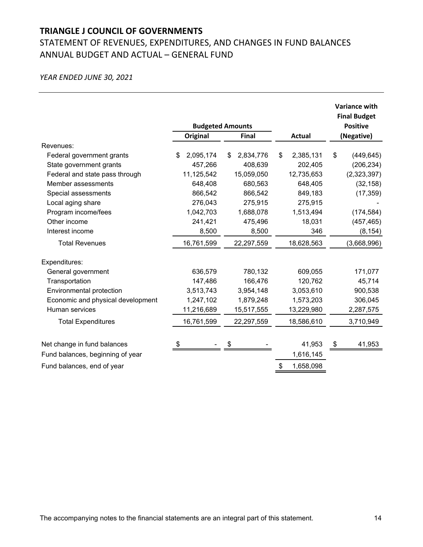## STATEMENT OF REVENUES, EXPENDITURES, AND CHANGES IN FUND BALANCES ANNUAL BUDGET AND ACTUAL – GENERAL FUND

|                                   |                 | <b>Budgeted Amounts</b> |                 | Variance with<br><b>Final Budget</b><br><b>Positive</b> |
|-----------------------------------|-----------------|-------------------------|-----------------|---------------------------------------------------------|
|                                   | Original        | <b>Final</b>            | <b>Actual</b>   | (Negative)                                              |
| Revenues:                         |                 |                         |                 |                                                         |
| Federal government grants         | 2,095,174<br>\$ | 2,834,776<br>\$         | 2,385,131<br>\$ | (449, 645)<br>\$                                        |
| State government grants           | 457,266         | 408,639                 | 202,405         | (206, 234)                                              |
| Federal and state pass through    | 11,125,542      | 15,059,050              | 12,735,653      | (2,323,397)                                             |
| Member assessments                | 648,408         | 680,563                 | 648,405         | (32, 158)                                               |
| Special assessments               | 866,542         | 866,542                 | 849,183         | (17, 359)                                               |
| Local aging share                 | 276,043         | 275,915                 | 275,915         |                                                         |
| Program income/fees               | 1,042,703       | 1,688,078               | 1,513,494       | (174, 584)                                              |
| Other income                      | 241,421         | 475,496                 | 18,031          | (457, 465)                                              |
| Interest income                   | 8,500           | 8,500                   | 346             | (8, 154)                                                |
| <b>Total Revenues</b>             | 16,761,599      | 22,297,559              | 18,628,563      | (3,668,996)                                             |
| Expenditures:                     |                 |                         |                 |                                                         |
| General government                | 636,579         | 780,132                 | 609,055         | 171,077                                                 |
| Transportation                    | 147,486         | 166,476                 | 120,762         | 45,714                                                  |
| Environmental protection          | 3,513,743       | 3,954,148               | 3,053,610       | 900,538                                                 |
| Economic and physical development | 1,247,102       | 1,879,248               | 1,573,203       | 306,045                                                 |
| Human services                    | 11,216,689      | 15,517,555              | 13,229,980      | 2,287,575                                               |
| <b>Total Expenditures</b>         | 16,761,599      | 22,297,559              | 18,586,610      | 3,710,949                                               |
| Net change in fund balances       | \$              | \$                      | 41,953          | 41,953<br>\$                                            |
| Fund balances, beginning of year  |                 |                         | 1,616,145       |                                                         |
| Fund balances, end of year        |                 |                         | \$<br>1,658,098 |                                                         |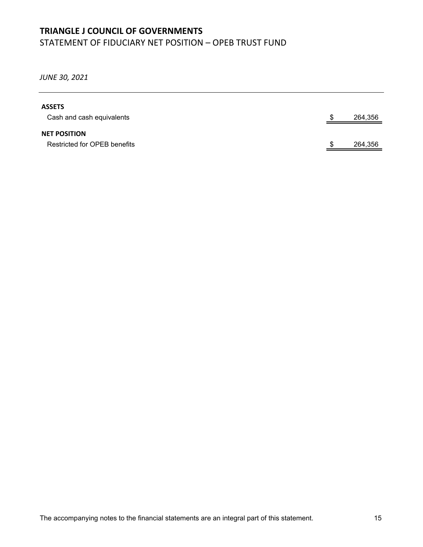## STATEMENT OF FIDUCIARY NET POSITION – OPEB TRUST FUND

*JUNE 30, 2021*

| <b>ASSETS</b><br>Cash and cash equivalents          | \$ | 264,356 |
|-----------------------------------------------------|----|---------|
| <b>NET POSITION</b><br>Restricted for OPEB benefits | S  | 264,356 |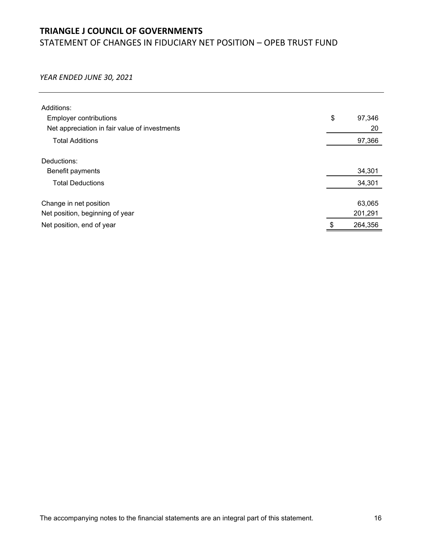## STATEMENT OF CHANGES IN FIDUCIARY NET POSITION – OPEB TRUST FUND

| Additions:                                    |              |
|-----------------------------------------------|--------------|
| <b>Employer contributions</b>                 | \$<br>97,346 |
| Net appreciation in fair value of investments | 20           |
| <b>Total Additions</b>                        | 97,366       |
|                                               |              |
| Deductions:                                   |              |
| Benefit payments                              | 34,301       |
| <b>Total Deductions</b>                       | 34,301       |
|                                               |              |
| Change in net position                        | 63,065       |
| Net position, beginning of year               | 201,291      |
| Net position, end of year                     | 264,356      |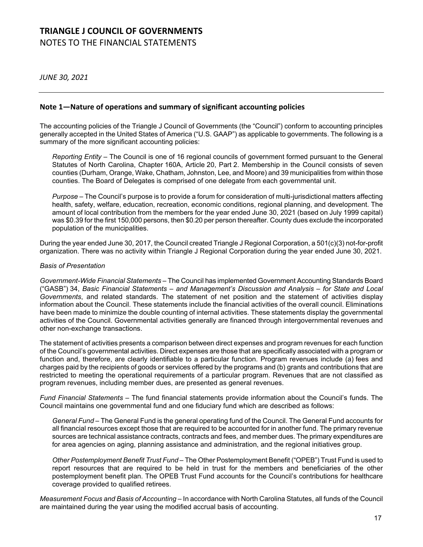*JUNE 30, 2021*

### **Note 1—Nature of operations and summary of significant accounting policies**

The accounting policies of the Triangle J Council of Governments (the "Council") conform to accounting principles generally accepted in the United States of America ("U.S. GAAP") as applicable to governments. The following is a summary of the more significant accounting policies:

*Reporting Entity –* The Council is one of 16 regional councils of government formed pursuant to the General Statutes of North Carolina, Chapter 160A, Article 20, Part 2. Membership in the Council consists of seven counties (Durham, Orange, Wake, Chatham, Johnston, Lee, and Moore) and 39 municipalities from within those counties. The Board of Delegates is comprised of one delegate from each governmental unit.

*Purpose –* The Council's purpose is to provide a forum for consideration of multi-jurisdictional matters affecting health, safety, welfare, education, recreation, economic conditions, regional planning, and development. The amount of local contribution from the members for the year ended June 30, 2021 (based on July 1999 capital) was \$0.39 for the first 150,000 persons, then \$0.20 per person thereafter. County dues exclude the incorporated population of the municipalities.

During the year ended June 30, 2017, the Council created Triangle J Regional Corporation, a 501(c)(3) not-for-profit organization. There was no activity within Triangle J Regional Corporation during the year ended June 30, 2021.

### *Basis of Presentation*

*Government-Wide Financial Statements* – The Council has implemented Government Accounting Standards Board ("GASB") 34, *Basic Financial Statements – and Management's Discussion and Analysis – for State and Local Governments*, and related standards. The statement of net position and the statement of activities display information about the Council. These statements include the financial activities of the overall council. Eliminations have been made to minimize the double counting of internal activities. These statements display the governmental activities of the Council. Governmental activities generally are financed through intergovernmental revenues and other non-exchange transactions.

The statement of activities presents a comparison between direct expenses and program revenues for each function of the Council's governmental activities. Direct expenses are those that are specifically associated with a program or function and, therefore, are clearly identifiable to a particular function. Program revenues include (a) fees and charges paid by the recipients of goods or services offered by the programs and (b) grants and contributions that are restricted to meeting the operational requirements of a particular program. Revenues that are not classified as program revenues, including member dues, are presented as general revenues.

*Fund Financial Statements* – The fund financial statements provide information about the Council's funds. The Council maintains one governmental fund and one fiduciary fund which are described as follows:

*General Fund* – The General Fund is the general operating fund of the Council. The General Fund accounts for all financial resources except those that are required to be accounted for in another fund. The primary revenue sources are technical assistance contracts, contracts and fees, and member dues. The primary expenditures are for area agencies on aging, planning assistance and administration, and the regional initiatives group.

*Other Postemployment Benefit Trust Fund* – The Other Postemployment Benefit ("OPEB") Trust Fund is used to report resources that are required to be held in trust for the members and beneficiaries of the other postemployment benefit plan. The OPEB Trust Fund accounts for the Council's contributions for healthcare coverage provided to qualified retirees.

*Measurement Focus and Basis of Accounting –* In accordance with North Carolina Statutes, all funds of the Council are maintained during the year using the modified accrual basis of accounting.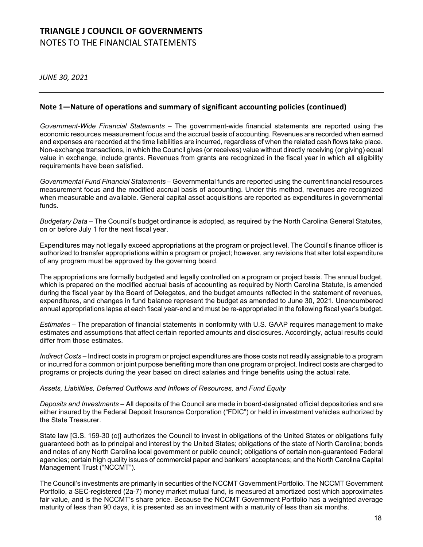*JUNE 30, 2021*

### **Note 1—Nature of operations and summary of significant accounting policies (continued)**

*Government-Wide Financial Statements* – The government-wide financial statements are reported using the economic resources measurement focus and the accrual basis of accounting. Revenues are recorded when earned and expenses are recorded at the time liabilities are incurred, regardless of when the related cash flows take place. Non-exchange transactions, in which the Council gives (or receives) value without directly receiving (or giving) equal value in exchange, include grants. Revenues from grants are recognized in the fiscal year in which all eligibility requirements have been satisfied.

*Governmental Fund Financial Statements* – Governmental funds are reported using the current financial resources measurement focus and the modified accrual basis of accounting. Under this method, revenues are recognized when measurable and available. General capital asset acquisitions are reported as expenditures in governmental funds.

*Budgetary Data –* The Council's budget ordinance is adopted, as required by the North Carolina General Statutes, on or before July 1 for the next fiscal year.

Expenditures may not legally exceed appropriations at the program or project level. The Council's finance officer is authorized to transfer appropriations within a program or project; however, any revisions that alter total expenditure of any program must be approved by the governing board.

The appropriations are formally budgeted and legally controlled on a program or project basis. The annual budget, which is prepared on the modified accrual basis of accounting as required by North Carolina Statute, is amended during the fiscal year by the Board of Delegates, and the budget amounts reflected in the statement of revenues, expenditures, and changes in fund balance represent the budget as amended to June 30, 2021. Unencumbered annual appropriations lapse at each fiscal year-end and must be re-appropriated in the following fiscal year's budget.

*Estimates –* The preparation of financial statements in conformity with U.S. GAAP requires management to make estimates and assumptions that affect certain reported amounts and disclosures. Accordingly, actual results could differ from those estimates.

*Indirect Costs –* Indirect costs in program or project expenditures are those costs not readily assignable to a program or incurred for a common or joint purpose benefiting more than one program or project. Indirect costs are charged to programs or projects during the year based on direct salaries and fringe benefits using the actual rate.

### *Assets, Liabilities, Deferred Outflows and Inflows of Resources, and Fund Equity*

*Deposits and Investments –* All deposits of the Council are made in board-designated official depositories and are either insured by the Federal Deposit Insurance Corporation ("FDIC") or held in investment vehicles authorized by the State Treasurer.

State law [G.S. 159-30 (c)] authorizes the Council to invest in obligations of the United States or obligations fully guaranteed both as to principal and interest by the United States; obligations of the state of North Carolina; bonds and notes of any North Carolina local government or public council; obligations of certain non-guaranteed Federal agencies; certain high quality issues of commercial paper and bankers' acceptances; and the North Carolina Capital Management Trust ("NCCMT").

The Council's investments are primarily in securities of the NCCMT Government Portfolio. The NCCMT Government Portfolio, a SEC-registered (2a-7) money market mutual fund, is measured at amortized cost which approximates fair value, and is the NCCMT's share price. Because the NCCMT Government Portfolio has a weighted average maturity of less than 90 days, it is presented as an investment with a maturity of less than six months.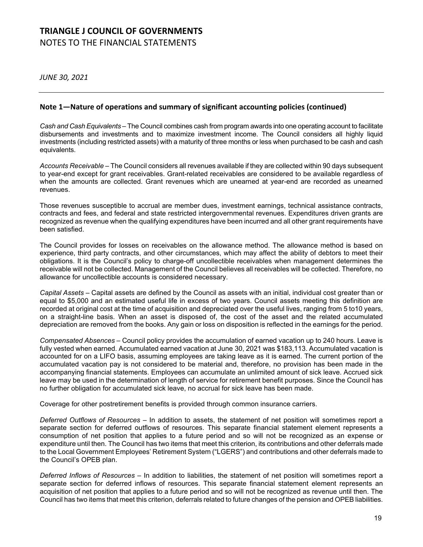*JUNE 30, 2021*

### **Note 1—Nature of operations and summary of significant accounting policies (continued)**

*Cash and Cash Equivalents –* The Council combines cash from program awards into one operating account to facilitate disbursements and investments and to maximize investment income. The Council considers all highly liquid investments (including restricted assets) with a maturity of three months or less when purchased to be cash and cash equivalents.

*Accounts Receivable –* The Council considers all revenues available if they are collected within 90 days subsequent to year-end except for grant receivables. Grant-related receivables are considered to be available regardless of when the amounts are collected. Grant revenues which are unearned at year-end are recorded as unearned revenues.

Those revenues susceptible to accrual are member dues, investment earnings, technical assistance contracts, contracts and fees, and federal and state restricted intergovernmental revenues. Expenditures driven grants are recognized as revenue when the qualifying expenditures have been incurred and all other grant requirements have been satisfied.

The Council provides for losses on receivables on the allowance method. The allowance method is based on experience, third party contracts, and other circumstances, which may affect the ability of debtors to meet their obligations. It is the Council's policy to charge-off uncollectible receivables when management determines the receivable will not be collected. Management of the Council believes all receivables will be collected. Therefore, no allowance for uncollectible accounts is considered necessary.

*Capital Assets –* Capital assets are defined by the Council as assets with an initial, individual cost greater than or equal to \$5,000 and an estimated useful life in excess of two years. Council assets meeting this definition are recorded at original cost at the time of acquisition and depreciated over the useful lives, ranging from 5 to10 years, on a straight-line basis. When an asset is disposed of, the cost of the asset and the related accumulated depreciation are removed from the books. Any gain or loss on disposition is reflected in the earnings for the period.

*Compensated Absences –* Council policy provides the accumulation of earned vacation up to 240 hours. Leave is fully vested when earned. Accumulated earned vacation at June 30, 2021 was \$183,113. Accumulated vacation is accounted for on a LIFO basis, assuming employees are taking leave as it is earned. The current portion of the accumulated vacation pay is not considered to be material and, therefore, no provision has been made in the accompanying financial statements. Employees can accumulate an unlimited amount of sick leave. Accrued sick leave may be used in the determination of length of service for retirement benefit purposes. Since the Council has no further obligation for accumulated sick leave, no accrual for sick leave has been made.

Coverage for other postretirement benefits is provided through common insurance carriers.

*Deferred Outflows of Resources –* In addition to assets, the statement of net position will sometimes report a separate section for deferred outflows of resources. This separate financial statement element represents a consumption of net position that applies to a future period and so will not be recognized as an expense or expenditure until then. The Council has two items that meet this criterion, its contributions and other deferrals made to the Local Government Employees' Retirement System ("LGERS") and contributions and other deferrals made to the Council's OPEB plan.

*Deferred Inflows of Resources –* In addition to liabilities, the statement of net position will sometimes report a separate section for deferred inflows of resources. This separate financial statement element represents an acquisition of net position that applies to a future period and so will not be recognized as revenue until then. The Council has two items that meet this criterion, deferrals related to future changes of the pension and OPEB liabilities.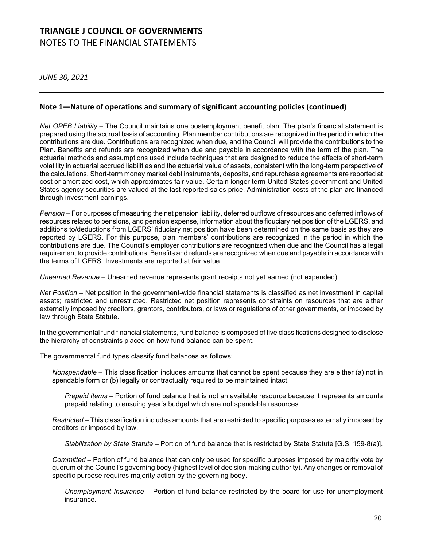*JUNE 30, 2021*

### **Note 1—Nature of operations and summary of significant accounting policies (continued)**

*Net OPEB Liability –* The Council maintains one postemployment benefit plan. The plan's financial statement is prepared using the accrual basis of accounting. Plan member contributions are recognized in the period in which the contributions are due. Contributions are recognized when due, and the Council will provide the contributions to the Plan. Benefits and refunds are recognized when due and payable in accordance with the term of the plan. The actuarial methods and assumptions used include techniques that are designed to reduce the effects of short-term volatility in actuarial accrued liabilities and the actuarial value of assets, consistent with the long-term perspective of the calculations. Short-term money market debt instruments, deposits, and repurchase agreements are reported at cost or amortized cost, which approximates fair value. Certain longer term United States government and United States agency securities are valued at the last reported sales price. Administration costs of the plan are financed through investment earnings.

*Pension –* For purposes of measuring the net pension liability, deferred outflows of resources and deferred inflows of resources related to pensions, and pension expense, information about the fiduciary net position of the LGERS, and additions to/deductions from LGERS' fiduciary net position have been determined on the same basis as they are reported by LGERS. For this purpose, plan members' contributions are recognized in the period in which the contributions are due. The Council's employer contributions are recognized when due and the Council has a legal requirement to provide contributions. Benefits and refunds are recognized when due and payable in accordance with the terms of LGERS. Investments are reported at fair value.

*Unearned Revenue –* Unearned revenue represents grant receipts not yet earned (not expended).

*Net Position –* Net position in the government-wide financial statements is classified as net investment in capital assets; restricted and unrestricted. Restricted net position represents constraints on resources that are either externally imposed by creditors, grantors, contributors, or laws or regulations of other governments, or imposed by law through State Statute.

In the governmental fund financial statements, fund balance is composed of five classifications designed to disclose the hierarchy of constraints placed on how fund balance can be spent.

The governmental fund types classify fund balances as follows:

*Nonspendable –* This classification includes amounts that cannot be spent because they are either (a) not in spendable form or (b) legally or contractually required to be maintained intact.

*Prepaid Items* – Portion of fund balance that is not an available resource because it represents amounts prepaid relating to ensuing year's budget which are not spendable resources.

*Restricted* – This classification includes amounts that are restricted to specific purposes externally imposed by creditors or imposed by law.

*Stabilization by State Statute* – Portion of fund balance that is restricted by State Statute [G.S. 159-8(a)].

*Committed* – Portion of fund balance that can only be used for specific purposes imposed by majority vote by quorum of the Council's governing body (highest level of decision-making authority). Any changes or removal of specific purpose requires majority action by the governing body.

*Unemployment Insurance* – Portion of fund balance restricted by the board for use for unemployment insurance.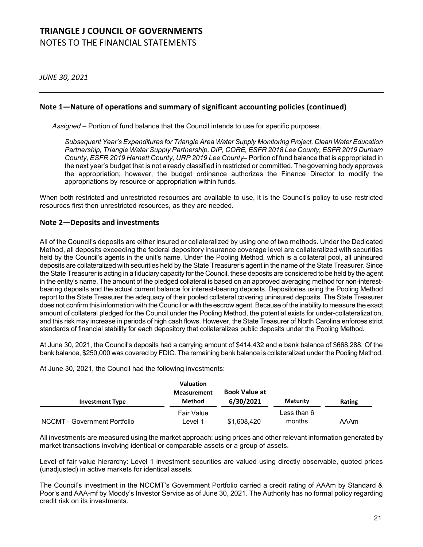*JUNE 30, 2021*

## **Note 1—Nature of operations and summary of significant accounting policies (continued)**

*Assigned* – Portion of fund balance that the Council intends to use for specific purposes.

*Subsequent Year's Expenditures for Triangle Area Water Supply Monitoring Project, Clean Water Education Partnership, Triangle Water Supply Partnership, DIP, CORE, ESFR 2018 Lee County, ESFR 2019 Durham County, ESFR 2019 Harnett County, URP 2019 Lee County*– Portion of fund balance that is appropriated in the next year's budget that is not already classified in restricted or committed. The governing body approves the appropriation; however, the budget ordinance authorizes the Finance Director to modify the appropriations by resource or appropriation within funds.

When both restricted and unrestricted resources are available to use, it is the Council's policy to use restricted resources first then unrestricted resources, as they are needed.

### **Note 2—Deposits and investments**

All of the Council's deposits are either insured or collateralized by using one of two methods. Under the Dedicated Method, all deposits exceeding the federal depository insurance coverage level are collateralized with securities held by the Council's agents in the unit's name. Under the Pooling Method, which is a collateral pool, all uninsured deposits are collateralized with securities held by the State Treasurer's agent in the name of the State Treasurer. Since the State Treasurer is acting in a fiduciary capacity for the Council, these deposits are considered to be held by the agent in the entity's name. The amount of the pledged collateral is based on an approved averaging method for non-interestbearing deposits and the actual current balance for interest-bearing deposits. Depositories using the Pooling Method report to the State Treasurer the adequacy of their pooled collateral covering uninsured deposits. The State Treasurer does not confirm this information with the Council or with the escrow agent. Because of the inability to measure the exact amount of collateral pledged for the Council under the Pooling Method, the potential exists for under-collateralization, and this risk may increase in periods of high cash flows. However, the State Treasurer of North Carolina enforces strict standards of financial stability for each depository that collateralizes public deposits under the Pooling Method.

At June 30, 2021, the Council's deposits had a carrying amount of \$414,432 and a bank balance of \$668,288. Of the bank balance, \$250,000 was covered by FDIC. The remaining bank balance is collateralized under the Pooling Method.

At June 30, 2021, the Council had the following investments:

| <b>Valuation</b><br><b>Measurement</b><br>Method<br><b>Investment Type</b> |                              | <b>Book Value at</b><br>6/30/2021 | <b>Maturity</b>       | Rating |  |
|----------------------------------------------------------------------------|------------------------------|-----------------------------------|-----------------------|--------|--|
| NCCMT - Government Portfolio                                               | <b>Fair Value</b><br>∟evel 1 | \$1,608,420                       | Less than 6<br>months | AAAm   |  |

All investments are measured using the market approach: using prices and other relevant information generated by market transactions involving identical or comparable assets or a group of assets.

Level of fair value hierarchy: Level 1 investment securities are valued using directly observable, quoted prices (unadjusted) in active markets for identical assets.

The Council's investment in the NCCMT's Government Portfolio carried a credit rating of AAAm by Standard & Poor's and AAA-mf by Moody's Investor Service as of June 30, 2021. The Authority has no formal policy regarding credit risk on its investments.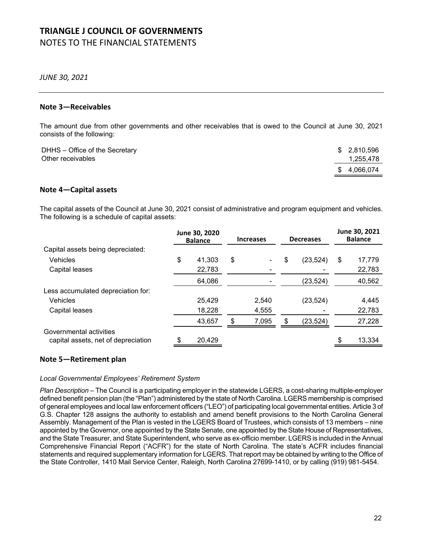*JUNE 30, 2021*

### **Note 3—Receivables**

The amount due from other governments and other receivables that is owed to the Council at June 30, 2021 consists of the following:

| DHHS – Office of the Secretary | \$ 2,810,596 |
|--------------------------------|--------------|
| Other receivables              | 1,255,478    |
|                                | \$4.066.074  |

### **Note 4—Capital assets**

The capital assets of the Council at June 30, 2021 consist of administrative and program equipment and vehicles. The following is a schedule of capital assets:

|                                     | June 30, 2020<br><b>Balance</b> |     | <b>Increases</b> | <b>Decreases</b> | June 30, 2021<br><b>Balance</b> |
|-------------------------------------|---------------------------------|-----|------------------|------------------|---------------------------------|
| Capital assets being depreciated:   |                                 |     |                  |                  |                                 |
| Vehicles                            | \$<br>41,303                    | \$  |                  | \$<br>(23, 524)  | \$<br>17,779                    |
| Capital leases                      | 22,783                          |     |                  |                  | 22,783                          |
|                                     | 64,086                          |     |                  | (23, 524)        | 40,562                          |
| Less accumulated depreciation for:  |                                 |     |                  |                  |                                 |
| <b>Vehicles</b>                     | 25,429                          |     | 2,540            | (23, 524)        | 4,445                           |
| Capital leases                      | 18,228                          |     | 4,555            |                  | 22,783                          |
|                                     | 43,657                          | \$. | 7,095            | (23,524)         | 27,228                          |
| Governmental activities             |                                 |     |                  |                  |                                 |
| capital assets, net of depreciation | \$<br>20,429                    |     |                  |                  | 13,334                          |

### **Note 5—Retirement plan**

### *Local Governmental Employees' Retirement System*

*Plan Description* – The Council is a participating employer in the statewide LGERS, a cost-sharing multiple-employer defined benefit pension plan (the "Plan") administered by the state of North Carolina. LGERS membership is comprised of general employees and local law enforcement officers ("LEO") of participating local governmental entities. Article 3 of G.S. Chapter 128 assigns the authority to establish and amend benefit provisions to the North Carolina General Assembly. Management of the Plan is vested in the LGERS Board of Trustees, which consists of 13 members – nine appointed by the Governor, one appointed by the State Senate, one appointed by the State House of Representatives, and the State Treasurer, and State Superintendent, who serve as ex-officio member. LGERS is included in the Annual Comprehensive Financial Report ("ACFR") for the state of North Carolina. The state's ACFR includes financial statements and required supplementary information for LGERS. That report may be obtained by writing to the Office of the State Controller, 1410 Mail Service Center, Raleigh, North Carolina 27699-1410, or by calling (919) 981-5454.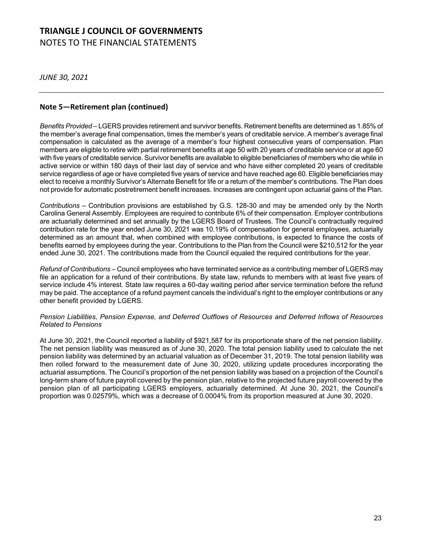*JUNE 30, 2021*

## **Note 5—Retirement plan (continued)**

*Benefits Provided –* LGERS provides retirement and survivor benefits. Retirement benefits are determined as 1.85% of the member's average final compensation, times the member's years of creditable service. A member's average final compensation is calculated as the average of a member's four highest consecutive years of compensation. Plan members are eligible to retire with partial retirement benefits at age 50 with 20 years of creditable service or at age 60 with five years of creditable service. Survivor benefits are available to eligible beneficiaries of members who die while in active service or within 180 days of their last day of service and who have either completed 20 years of creditable service regardless of age or have completed five years of service and have reached age 60. Eligible beneficiaries may elect to receive a monthly Survivor's Alternate Benefit for life or a return of the member's contributions. The Plan does not provide for automatic postretirement benefit increases. Increases are contingent upon actuarial gains of the Plan.

*Contributions –* Contribution provisions are established by G.S. 128-30 and may be amended only by the North Carolina General Assembly. Employees are required to contribute 6% of their compensation. Employer contributions are actuarially determined and set annually by the LGERS Board of Trustees. The Council's contractually required contribution rate for the year ended June 30, 2021 was 10.19% of compensation for general employees, actuarially determined as an amount that, when combined with employee contributions, is expected to finance the costs of benefits earned by employees during the year. Contributions to the Plan from the Council were \$210,512 for the year ended June 30, 2021. The contributions made from the Council equaled the required contributions for the year.

*Refund of Contributions* – Council employees who have terminated service as a contributing member of LGERS may file an application for a refund of their contributions. By state law, refunds to members with at least five years of service include 4% interest. State law requires a 60-day waiting period after service termination before the refund may be paid. The acceptance of a refund payment cancels the individual's right to the employer contributions or any other benefit provided by LGERS.

### *Pension Liabilities, Pension Expense, and Deferred Outflows of Resources and Deferred Inflows of Resources Related to Pensions*

At June 30, 2021, the Council reported a liability of \$921,587 for its proportionate share of the net pension liability. The net pension liability was measured as of June 30, 2020. The total pension liability used to calculate the net pension liability was determined by an actuarial valuation as of December 31, 2019. The total pension liability was then rolled forward to the measurement date of June 30, 2020, utilizing update procedures incorporating the actuarial assumptions. The Council's proportion of the net pension liability was based on a projection of the Council's long-term share of future payroll covered by the pension plan, relative to the projected future payroll covered by the pension plan of all participating LGERS employers, actuarially determined. At June 30, 2021, the Council's proportion was 0.02579%, which was a decrease of 0.0004% from its proportion measured at June 30, 2020.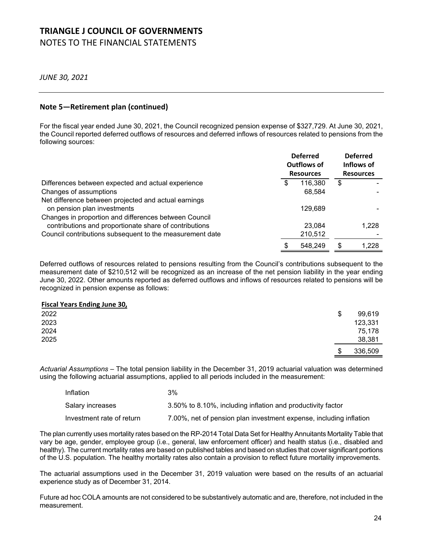*JUNE 30, 2021*

### **Note 5—Retirement plan (continued)**

For the fiscal year ended June 30, 2021, the Council recognized pension expense of \$327,729. At June 30, 2021, the Council reported deferred outflows of resources and deferred inflows of resources related to pensions from the following sources:

|                                                          |   | <b>Deferred</b><br>Outflows of<br><b>Resources</b> | <b>Deferred</b><br>Inflows of<br><b>Resources</b> |
|----------------------------------------------------------|---|----------------------------------------------------|---------------------------------------------------|
| Differences between expected and actual experience       | S | 116,380                                            | \$                                                |
| Changes of assumptions                                   |   | 68,584                                             |                                                   |
| Net difference between projected and actual earnings     |   |                                                    |                                                   |
| on pension plan investments                              |   | 129,689                                            |                                                   |
| Changes in proportion and differences between Council    |   |                                                    |                                                   |
| contributions and proportionate share of contributions   |   | 23,084                                             | 1.228                                             |
| Council contributions subsequent to the measurement date |   | 210,512                                            |                                                   |
|                                                          | S | 548.249                                            | \$<br>1.228                                       |

Deferred outflows of resources related to pensions resulting from the Council's contributions subsequent to the measurement date of \$210,512 will be recognized as an increase of the net pension liability in the year ending June 30, 2022. Other amounts reported as deferred outflows and inflows of resources related to pensions will be recognized in pension expense as follows:

### **Fiscal Years Ending June 30,**

| 2022 | \$<br>99,619  |
|------|---------------|
| 2023 | 123,331       |
| 2024 | 75,178        |
| 2025 | 38,381        |
|      | \$<br>336,509 |

*Actuarial Assumptions –* The total pension liability in the December 31, 2019 actuarial valuation was determined using the following actuarial assumptions, applied to all periods included in the measurement:

| Inflation                 | 3%                                                                 |
|---------------------------|--------------------------------------------------------------------|
| Salary increases          | 3.50% to 8.10%, including inflation and productivity factor        |
| Investment rate of return | 7.00%, net of pension plan investment expense, including inflation |

The plan currently uses mortality rates based on the RP-2014 Total Data Set for Healthy Annuitants Mortality Table that vary be age, gender, employee group (i.e., general, law enforcement officer) and health status (i.e., disabled and healthy). The current mortality rates are based on published tables and based on studies that cover significant portions of the U.S. population. The healthy mortality rates also contain a provision to reflect future mortality improvements.

The actuarial assumptions used in the December 31, 2019 valuation were based on the results of an actuarial experience study as of December 31, 2014.

Future ad hoc COLA amounts are not considered to be substantively automatic and are, therefore, not included in the measurement.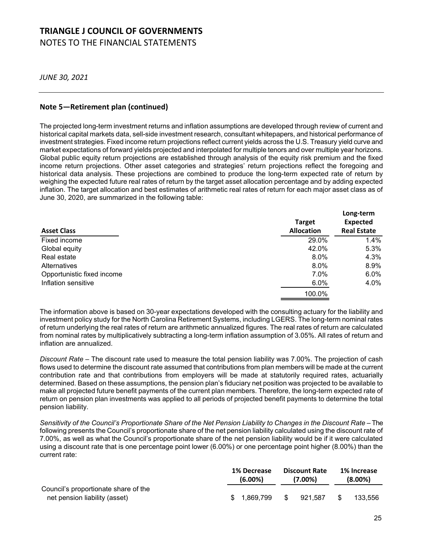*JUNE 30, 2021*

### **Note 5—Retirement plan (continued)**

The projected long-term investment returns and inflation assumptions are developed through review of current and historical capital markets data, sell-side investment research, consultant whitepapers, and historical performance of investment strategies. Fixed income return projections reflect current yields across the U.S. Treasury yield curve and market expectations of forward yields projected and interpolated for multiple tenors and over multiple year horizons. Global public equity return projections are established through analysis of the equity risk premium and the fixed income return projections. Other asset categories and strategies' return projections reflect the foregoing and historical data analysis. These projections are combined to produce the long-term expected rate of return by weighing the expected future real rates of return by the target asset allocation percentage and by adding expected inflation. The target allocation and best estimates of arithmetic real rates of return for each major asset class as of June 30, 2020, are summarized in the following table:

| <b>Asset Class</b>         | <b>Target</b><br><b>Allocation</b> | Long-term<br><b>Expected</b><br><b>Real Estate</b> |
|----------------------------|------------------------------------|----------------------------------------------------|
| Fixed income               | 29.0%                              | 1.4%                                               |
| Global equity              | 42.0%                              | 5.3%                                               |
| Real estate                | 8.0%                               | 4.3%                                               |
| <b>Alternatives</b>        | $8.0\%$                            | 8.9%                                               |
| Opportunistic fixed income | 7.0%                               | $6.0\%$                                            |
| Inflation sensitive        | 6.0%                               | 4.0%                                               |
|                            | 100.0%                             |                                                    |

The information above is based on 30-year expectations developed with the consulting actuary for the liability and investment policy study for the North Carolina Retirement Systems, including LGERS. The long-term nominal rates of return underlying the real rates of return are arithmetic annualized figures. The real rates of return are calculated from nominal rates by multiplicatively subtracting a long-term inflation assumption of 3.05%. All rates of return and inflation are annualized.

*Discount Rate* – The discount rate used to measure the total pension liability was 7.00%. The projection of cash flows used to determine the discount rate assumed that contributions from plan members will be made at the current contribution rate and that contributions from employers will be made at statutorily required rates, actuarially determined. Based on these assumptions, the pension plan's fiduciary net position was projected to be available to make all projected future benefit payments of the current plan members. Therefore, the long-term expected rate of return on pension plan investments was applied to all periods of projected benefit payments to determine the total pension liability.

*Sensitivity of the Council's Proportionate Share of the Net Pension Liability to Changes in the Discount Rate* – The following presents the Council's proportionate share of the net pension liability calculated using the discount rate of 7.00%, as well as what the Council's proportionate share of the net pension liability would be if it were calculated using a discount rate that is one percentage point lower (6.00%) or one percentage point higher (8.00%) than the current rate:

|                                                                       | <b>1% Decrease</b><br>$(6.00\%)$ |     | <b>Discount Rate</b><br>$(7.00\%)$ | 1% Increase<br>$(8.00\%)$ |
|-----------------------------------------------------------------------|----------------------------------|-----|------------------------------------|---------------------------|
| Council's proportionate share of the<br>net pension liability (asset) | 1.869.799<br>\$.                 | -SG | 921.587                            | 133.556                   |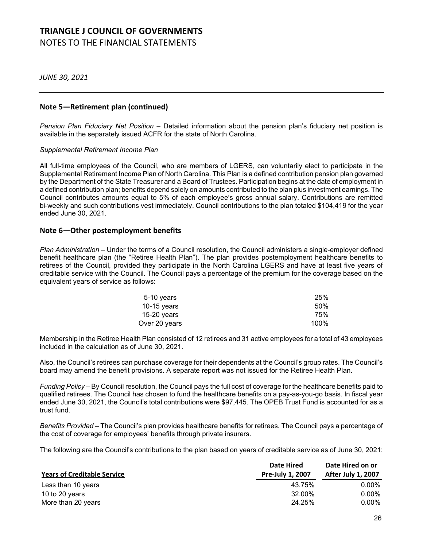*JUNE 30, 2021*

## **Note 5—Retirement plan (continued)**

*Pension Plan Fiduciary Net Position* – Detailed information about the pension plan's fiduciary net position is available in the separately issued ACFR for the state of North Carolina.

### *Supplemental Retirement Income Plan*

All full-time employees of the Council, who are members of LGERS, can voluntarily elect to participate in the Supplemental Retirement Income Plan of North Carolina. This Plan is a defined contribution pension plan governed by the Department of the State Treasurer and a Board of Trustees. Participation begins at the date of employment in a defined contribution plan; benefits depend solely on amounts contributed to the plan plus investment earnings. The Council contributes amounts equal to 5% of each employee's gross annual salary. Contributions are remitted bi-weekly and such contributions vest immediately. Council contributions to the plan totaled \$104,419 for the year ended June 30, 2021.

### **Note 6—Other postemployment benefits**

*Plan Administration –* Under the terms of a Council resolution, the Council administers a single-employer defined benefit healthcare plan (the "Retiree Health Plan"). The plan provides postemployment healthcare benefits to retirees of the Council, provided they participate in the North Carolina LGERS and have at least five years of creditable service with the Council. The Council pays a percentage of the premium for the coverage based on the equivalent years of service as follows:

| $5-10$ years  | 25%  |
|---------------|------|
| 10-15 years   | 50%  |
| 15-20 years   | 75%  |
| Over 20 years | 100% |

Membership in the Retiree Health Plan consisted of 12 retirees and 31 active employees for a total of 43 employees included in the calculation as of June 30, 2021.

Also, the Council's retirees can purchase coverage for their dependents at the Council's group rates. The Council's board may amend the benefit provisions. A separate report was not issued for the Retiree Health Plan.

*Funding Policy –* By Council resolution, the Council pays the full cost of coverage for the healthcare benefits paid to qualified retirees. The Council has chosen to fund the healthcare benefits on a pay-as-you-go basis. In fiscal year ended June 30, 2021, the Council's total contributions were \$97,445. The OPEB Trust Fund is accounted for as a trust fund.

*Benefits Provided* – The Council's plan provides healthcare benefits for retirees. The Council pays a percentage of the cost of coverage for employees' benefits through private insurers.

The following are the Council's contributions to the plan based on years of creditable service as of June 30, 2021:

| <b>Years of Creditable Service</b> | Date Hired<br>Pre-July 1, 2007 | Date Hired on or<br><b>After July 1, 2007</b> |
|------------------------------------|--------------------------------|-----------------------------------------------|
| Less than 10 years                 | 43.75%                         | $0.00\%$                                      |
| 10 to 20 years                     | 32.00%                         | $0.00\%$                                      |
| More than 20 years                 | 24.25%                         | $0.00\%$                                      |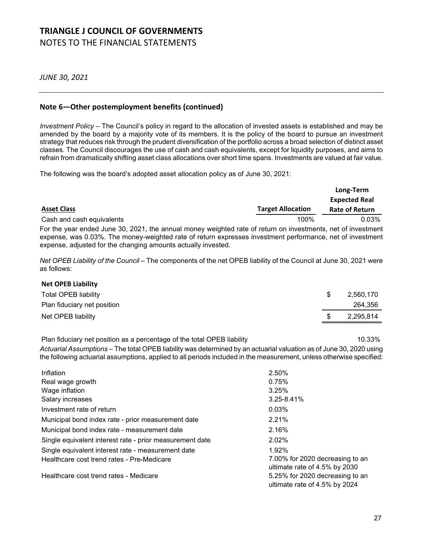*JUNE 30, 2021*

## **Note 6—Other postemployment benefits (continued)**

*Investment Policy* – The Council's policy in regard to the allocation of invested assets is established and may be amended by the board by a majority vote of its members. It is the policy of the board to pursue an investment strategy that reduces risk through the prudent diversification of the portfolio across a broad selection of distinct asset classes. The Council discourages the use of cash and cash equivalents, except for liquidity purposes, and aims to refrain from dramatically shifting asset class allocations over short time spans. Investments are valued at fair value.

The following was the board's adopted asset allocation policy as of June 30, 2021:

|                                                                                                                                                                                                                           |                          | Long-Term             |
|---------------------------------------------------------------------------------------------------------------------------------------------------------------------------------------------------------------------------|--------------------------|-----------------------|
|                                                                                                                                                                                                                           |                          | <b>Expected Real</b>  |
| <b>Asset Class</b>                                                                                                                                                                                                        | <b>Target Allocation</b> | <b>Rate of Return</b> |
| Cash and cash equivalents                                                                                                                                                                                                 | 100%                     | $0.03\%$              |
| For the year ended June 30, 2021, the annual money weighted rate of return on investments, net of investment<br>expense, was 0.03%. The money-weighted rate of return expresses investment performance, net of investment |                          |                       |
| expense, adjusted for the changing amounts actually invested.                                                                                                                                                             |                          |                       |

*Net OPEB Liability of the Council* – The components of the net OPEB liability of the Council at June 30, 2021 were as follows:

| <b>Net OPEB Liability</b>   |     |           |
|-----------------------------|-----|-----------|
| <b>Total OPEB liability</b> | \$. | 2,560,170 |
| Plan fiduciary net position |     | 264,356   |
| Net OPEB liability          | \$. | 2,295,814 |
|                             |     |           |

Plan fiduciary net position as a percentage of the total OPEB liability 10.33% *Actuarial Assumptions* – The total OPEB liability was determined by an actuarial valuation as of June 30, 2020 using the following actuarial assumptions, applied to all periods included in the measurement, unless otherwise specified:

| Inflation                                                | 2.50%                           |
|----------------------------------------------------------|---------------------------------|
| Real wage growth                                         | 0.75%                           |
| Wage inflation                                           | 3.25%                           |
| Salary increases                                         | 3.25-8.41%                      |
| Investment rate of return                                | 0.03%                           |
| Municipal bond index rate - prior measurement date       | 2.21%                           |
| Municipal bond index rate - measurement date             | 2.16%                           |
| Single equivalent interest rate - prior measurement date | 2.02%                           |
| Single equivalent interest rate - measurement date       | $1.92\%$                        |
| Healthcare cost trend rates - Pre-Medicare               | 7.00% for 2020 decreasing to an |
|                                                          | ultimate rate of 4.5% by 2030   |
| Healthcare cost trend rates - Medicare                   | 5.25% for 2020 decreasing to an |
|                                                          | ultimate rate of 4.5% by 2024   |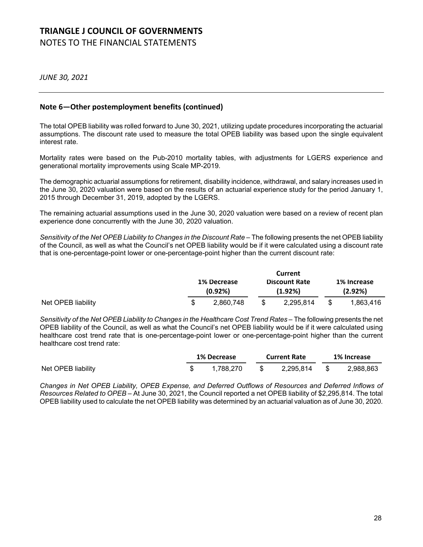*JUNE 30, 2021*

## **Note 6—Other postemployment benefits (continued)**

The total OPEB liability was rolled forward to June 30, 2021, utilizing update procedures incorporating the actuarial assumptions. The discount rate used to measure the total OPEB liability was based upon the single equivalent interest rate.

Mortality rates were based on the Pub-2010 mortality tables, with adjustments for LGERS experience and generational mortality improvements using Scale MP-2019.

The demographic actuarial assumptions for retirement, disability incidence, withdrawal, and salary increases used in the June 30, 2020 valuation were based on the results of an actuarial experience study for the period January 1, 2015 through December 31, 2019, adopted by the LGERS.

The remaining actuarial assumptions used in the June 30, 2020 valuation were based on a review of recent plan experience done concurrently with the June 30, 2020 valuation.

*Sensitivity of the Net OPEB Liability to Changes in the Discount Rate* – The following presents the net OPEB liability of the Council, as well as what the Council's net OPEB liability would be if it were calculated using a discount rate that is one-percentage-point lower or one-percentage-point higher than the current discount rate:

|                    |                        | current                         |                        |           |  |
|--------------------|------------------------|---------------------------------|------------------------|-----------|--|
|                    | 1% Decrease<br>(0.92%) | <b>Discount Rate</b><br>(1.92%) | 1% Increase<br>(2.92%) |           |  |
| Net OPEB liability | 2,860,748              | 2,295,814                       |                        | 1,863,416 |  |

**Current**

*Sensitivity of the Net OPEB Liability to Changes in the Healthcare Cost Trend Rates – The following presents the net* OPEB liability of the Council, as well as what the Council's net OPEB liability would be if it were calculated using healthcare cost trend rate that is one-percentage-point lower or one-percentage-point higher than the current healthcare cost trend rate:

|                    |  | 1% Decrease | <b>Current Rate</b> | 1% Increase |  |  |
|--------------------|--|-------------|---------------------|-------------|--|--|
| Net OPEB liability |  | 788.270     | 2.295.814           | 2.988.863   |  |  |

*Changes in Net OPEB Liability, OPEB Expense, and Deferred Outflows of Resources and Deferred Inflows of Resources Related to OPEB –* At June 30, 2021, the Council reported a net OPEB liability of \$2,295,814. The total OPEB liability used to calculate the net OPEB liability was determined by an actuarial valuation as of June 30, 2020.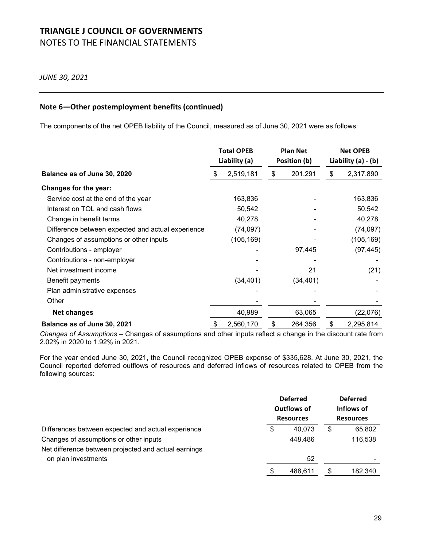*JUNE 30, 2021*

## **Note 6—Other postemployment benefits (continued)**

The components of the net OPEB liability of the Council, measured as of June 30, 2021 were as follows:

|                                                   |     | <b>Total OPEB</b><br>Liability (a) | <b>Plan Net</b><br>Position (b) | <b>Net OPEB</b><br>Liability $(a) - (b)$ |            |  |
|---------------------------------------------------|-----|------------------------------------|---------------------------------|------------------------------------------|------------|--|
| Balance as of June 30, 2020                       | -\$ | 2,519,181                          | \$<br>201,291                   | \$                                       | 2,317,890  |  |
| Changes for the year:                             |     |                                    |                                 |                                          |            |  |
| Service cost at the end of the year               |     | 163,836                            |                                 |                                          | 163,836    |  |
| Interest on TOL and cash flows                    |     | 50,542                             |                                 |                                          | 50,542     |  |
| Change in benefit terms                           |     | 40,278                             |                                 |                                          | 40,278     |  |
| Difference between expected and actual experience |     | (74, 097)                          |                                 |                                          | (74, 097)  |  |
| Changes of assumptions or other inputs            |     | (105, 169)                         |                                 |                                          | (105, 169) |  |
| Contributions - employer                          |     |                                    | 97,445                          |                                          | (97, 445)  |  |
| Contributions - non-employer                      |     |                                    |                                 |                                          |            |  |
| Net investment income                             |     |                                    | 21                              |                                          | (21)       |  |
| Benefit payments                                  |     | (34, 401)                          | (34, 401)                       |                                          |            |  |
| Plan administrative expenses                      |     |                                    |                                 |                                          |            |  |
| Other                                             |     |                                    |                                 |                                          |            |  |
| <b>Net changes</b>                                |     | 40,989                             | 63,065                          |                                          | (22,076)   |  |
| Balance as of June 30, 2021                       | \$  | 2,560,170                          | \$<br>264,356                   | \$                                       | 2,295,814  |  |

*Changes of Assumptions –* Changes of assumptions and other inputs reflect a change in the discount rate from 2.02% in 2020 to 1.92% in 2021.

For the year ended June 30, 2021, the Council recognized OPEB expense of \$335,628. At June 30, 2021, the Council reported deferred outflows of resources and deferred inflows of resources related to OPEB from the following sources:

|                                                      | <b>Deferred</b><br>Outflows of<br><b>Resources</b> | <b>Deferred</b><br>Inflows of<br><b>Resources</b> |    |         |
|------------------------------------------------------|----------------------------------------------------|---------------------------------------------------|----|---------|
| Differences between expected and actual experience   | S                                                  | 40.073                                            | \$ | 65,802  |
| Changes of assumptions or other inputs               |                                                    | 448.486                                           |    | 116,538 |
| Net difference between projected and actual earnings |                                                    |                                                   |    |         |
| on plan investments                                  |                                                    | 52                                                |    | ۰       |
|                                                      | S                                                  | 488.611                                           | \$ | 182,340 |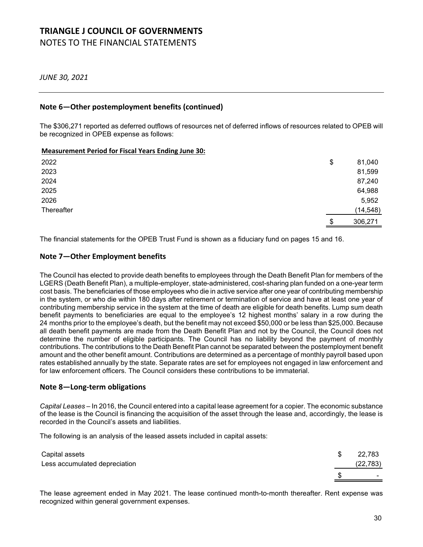*JUNE 30, 2021*

## **Note 6—Other postemployment benefits (continued)**

The \$306,271 reported as deferred outflows of resources net of deferred inflows of resources related to OPEB will be recognized in OPEB expense as follows:

### **Measurement Period for Fiscal Years Ending June 30:**

| 2022       | \$<br>81,040 |  |
|------------|--------------|--|
| 2023       | 81,599       |  |
| 2024       | 87,240       |  |
| 2025       | 64,988       |  |
| 2026       | 5,952        |  |
| Thereafter | (14, 548)    |  |
|            | 306,271<br>S |  |

The financial statements for the OPEB Trust Fund is shown as a fiduciary fund on pages 15 and 16.

### **Note 7—Other Employment benefits**

The Council has elected to provide death benefits to employees through the Death Benefit Plan for members of the LGERS (Death Benefit Plan), a multiple-employer, state-administered, cost-sharing plan funded on a one-year term cost basis. The beneficiaries of those employees who die in active service after one year of contributing membership in the system, or who die within 180 days after retirement or termination of service and have at least one year of contributing membership service in the system at the time of death are eligible for death benefits. Lump sum death benefit payments to beneficiaries are equal to the employee's 12 highest months' salary in a row during the 24 months prior to the employee's death, but the benefit may not exceed \$50,000 or be less than \$25,000. Because all death benefit payments are made from the Death Benefit Plan and not by the Council, the Council does not determine the number of eligible participants. The Council has no liability beyond the payment of monthly contributions. The contributions to the Death Benefit Plan cannot be separated between the postemployment benefit amount and the other benefit amount. Contributions are determined as a percentage of monthly payroll based upon rates established annually by the state. Separate rates are set for employees not engaged in law enforcement and for law enforcement officers. The Council considers these contributions to be immaterial.

### **Note 8—Long‐term obligations**

*Capital Leases –* In 2016, the Council entered into a capital lease agreement for a copier. The economic substance of the lease is the Council is financing the acquisition of the asset through the lease and, accordingly, the lease is recorded in the Council's assets and liabilities.

The following is an analysis of the leased assets included in capital assets:

| Capital assets                | 22,783    |
|-------------------------------|-----------|
| Less accumulated depreciation | (22, 783) |
|                               | $\sim$    |

The lease agreement ended in May 2021. The lease continued month-to-month thereafter. Rent expense was recognized within general government expenses.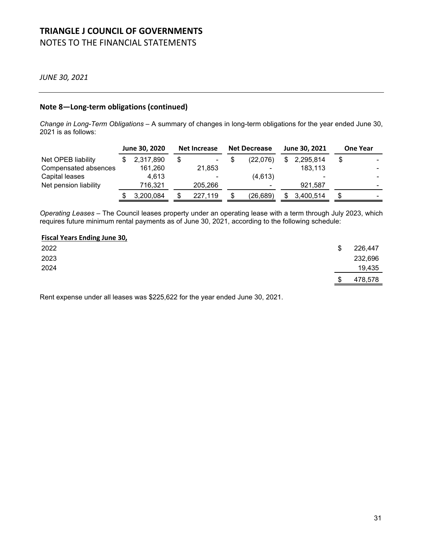*JUNE 30, 2021*

## **Note 8—Long‐term obligations (continued)**

*Change in Long-Term Obligations –* A summary of changes in long-term obligations for the year ended June 30, 2021 is as follows:

|                       | June 30, 2020 |    | <b>Net Increase</b>      |  | <b>Net Decrease</b>      | June 30, 2021 |           |  | <b>One Year</b> |
|-----------------------|---------------|----|--------------------------|--|--------------------------|---------------|-----------|--|-----------------|
| Net OPEB liability    | 2,317,890     | \$ | ۰                        |  | (22.076)                 | S             | 2,295,814 |  |                 |
| Compensated absences  | 161.260       |    | 21,853                   |  | $\overline{\phantom{a}}$ |               | 183.113   |  |                 |
| Capital leases        | 4.613         |    | $\overline{\phantom{0}}$ |  | (4,613)                  |               |           |  |                 |
| Net pension liability | 716,321       |    | 205.266                  |  | $\overline{\phantom{0}}$ |               | 921.587   |  | -               |
|                       | 3,200,084     | S  | 227.119                  |  | (26,689)                 |               | 3.400.514 |  |                 |

*Operating Leases –* The Council leases property under an operating lease with a term through July 2023, which requires future minimum rental payments as of June 30, 2021, according to the following schedule:

### **Fiscal Years Ending June 30,**

| 2022 | \$<br>226,447 |
|------|---------------|
| 2023 | 232,696       |
| 2024 | 19,435        |
|      | \$<br>478,578 |

Rent expense under all leases was \$225,622 for the year ended June 30, 2021.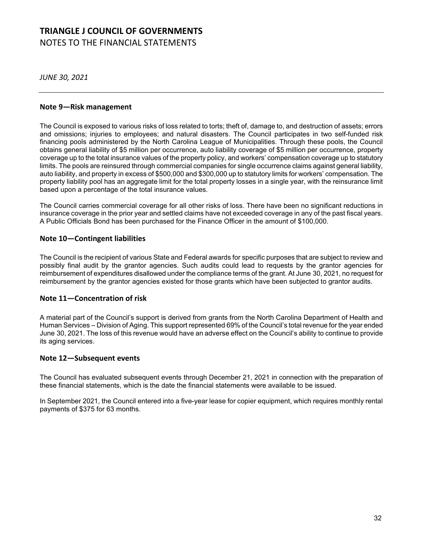*JUNE 30, 2021*

### **Note 9—Risk management**

The Council is exposed to various risks of loss related to torts; theft of, damage to, and destruction of assets; errors and omissions; injuries to employees; and natural disasters. The Council participates in two self-funded risk financing pools administered by the North Carolina League of Municipalities. Through these pools, the Council obtains general liability of \$5 million per occurrence, auto liability coverage of \$5 million per occurrence, property coverage up to the total insurance values of the property policy, and workers' compensation coverage up to statutory limits. The pools are reinsured through commercial companies for single occurrence claims against general liability, auto liability, and property in excess of \$500,000 and \$300,000 up to statutory limits for workers' compensation. The property liability pool has an aggregate limit for the total property losses in a single year, with the reinsurance limit based upon a percentage of the total insurance values.

The Council carries commercial coverage for all other risks of loss. There have been no significant reductions in insurance coverage in the prior year and settled claims have not exceeded coverage in any of the past fiscal years. A Public Officials Bond has been purchased for the Finance Officer in the amount of \$100,000.

### **Note 10—Contingent liabilities**

The Council is the recipient of various State and Federal awards for specific purposes that are subject to review and possibly final audit by the grantor agencies. Such audits could lead to requests by the grantor agencies for reimbursement of expenditures disallowed under the compliance terms of the grant. At June 30, 2021, no request for reimbursement by the grantor agencies existed for those grants which have been subjected to grantor audits.

### **Note 11—Concentration of risk**

A material part of the Council's support is derived from grants from the North Carolina Department of Health and Human Services – Division of Aging. This support represented 69% of the Council's total revenue for the year ended June 30, 2021. The loss of this revenue would have an adverse effect on the Council's ability to continue to provide its aging services.

### **Note 12—Subsequent events**

The Council has evaluated subsequent events through December 21, 2021 in connection with the preparation of these financial statements, which is the date the financial statements were available to be issued.

In September 2021, the Council entered into a five-year lease for copier equipment, which requires monthly rental payments of \$375 for 63 months.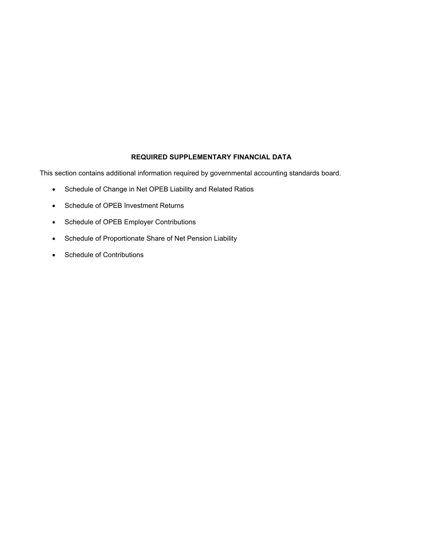### **REQUIRED SUPPLEMENTARY FINANCIAL DATA**

This section contains additional information required by governmental accounting standards board.

- Schedule of Change in Net OPEB Liability and Related Ratios
- Schedule of OPEB Investment Returns
- Schedule of OPEB Employer Contributions
- Schedule of Proportionate Share of Net Pension Liability
- Schedule of Contributions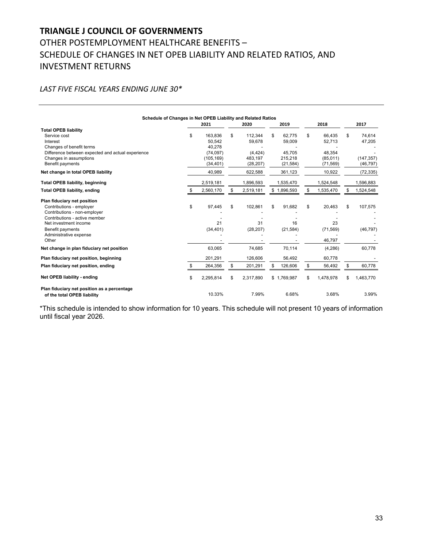## **TRIANGLE J COUNCIL OF GOVERNMENTS**  OTHER POSTEMPLOYMENT HEALTHCARE BENEFITS – SCHEDULE OF CHANGES IN NET OPEB LIABILITY AND RELATED RATIOS, AND INVESTMENT RETURNS

## *LAST FIVE FISCAL YEARS ENDING JUNE 30\**

| Schedule of Changes in Net OPEB Liability and Related Ratios                                    |                                     |    |                                  |                                |                                 |    |                         |
|-------------------------------------------------------------------------------------------------|-------------------------------------|----|----------------------------------|--------------------------------|---------------------------------|----|-------------------------|
|                                                                                                 | 2021                                |    | 2020                             | 2019                           | 2018                            |    | 2017                    |
| <b>Total OPEB liability</b><br>Service cost<br>Interest<br>Changes of benefit terms             | \$<br>163.836<br>50.542<br>40.278   | \$ | 112.344<br>59,678                | \$<br>62.775<br>59,009         | \$<br>66.435<br>52,713          | \$ | 74.614<br>47,205        |
| Difference between expected and actual experience<br>Changes in assumptions<br>Benefit payments | (74,097)<br>(105, 169)<br>(34, 401) |    | (4, 424)<br>483,197<br>(28, 207) | 45,705<br>215,218<br>(21, 584) | 48,354<br>(85,011)<br>(71, 569) |    | (147, 357)<br>(46, 797) |
| Net change in total OPEB liability                                                              | 40,989                              |    | 622,588                          | 361,123                        | 10,922                          |    | (72, 335)               |
| <b>Total OPEB liability, beginning</b>                                                          | 2,519,181                           |    | 1,896,593                        | 1,535,470                      | 1,524,548                       |    | 1,596,883               |
| <b>Total OPEB liability, ending</b>                                                             | \$<br>2,560,170                     | S  | 2,519,181                        | \$1,896,593                    | \$<br>1,535,470                 |    | 1,524,548               |
| Plan fiduciary net position                                                                     | \$<br>97,445                        | \$ |                                  | \$                             | \$                              | \$ |                         |
| Contributions - employer<br>Contributions - non-employer<br>Contributions - active member       |                                     |    | 102,861                          | 91,682                         | 20,463                          |    | 107,575                 |
| Net investment income                                                                           | 21                                  |    | 31                               | 16                             | 23                              |    |                         |
| Benefit payments<br>Administrative expense<br>Other                                             | (34, 401)                           |    | (28, 207)                        | (21, 584)                      | (71, 569)<br>46.797             |    | (46, 797)               |
| Net change in plan fiduciary net position                                                       | 63,065                              |    | 74,685                           | 70,114                         | (4, 286)                        |    | 60,778                  |
| Plan fiduciary net position, beginning                                                          | 201,291                             |    | 126,606                          | 56,492                         | 60,778                          |    |                         |
| Plan fiduciary net position, ending                                                             | 264,356                             | \$ | 201,291                          | \$<br>126,606                  | \$<br>56,492                    | S  | 60,778                  |
| Net OPEB liability - ending                                                                     | \$<br>2,295,814                     | \$ | 2,317,890                        | \$1,769,987                    | \$<br>1,478,978                 | \$ | 1,463,770               |
| Plan fiduciary net position as a percentage<br>of the total OPEB liability                      | 10.33%                              |    | 7.99%                            | 6.68%                          | 3.68%                           |    | 3.99%                   |

\*This schedule is intended to show information for 10 years. This schedule will not present 10 years of information until fiscal year 2026.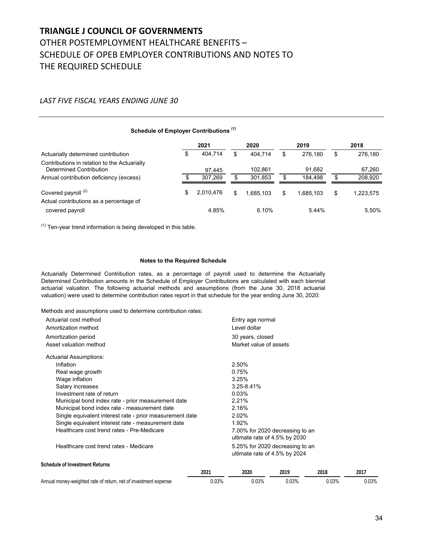## **TRIANGLE J COUNCIL OF GOVERNMENTS**  OTHER POSTEMPLOYMENT HEALTHCARE BENEFITS – SCHEDULE OF OPEB EMPLOYER CONTRIBUTIONS AND NOTES TO THE REQUIRED SCHEDULE

## *LAST FIVE FISCAL YEARS ENDING JUNE 30*

|                                                                                | Schedule of Employer Contributions <sup>(1)</sup> |    |           |   |           |    |           |
|--------------------------------------------------------------------------------|---------------------------------------------------|----|-----------|---|-----------|----|-----------|
|                                                                                | 2021                                              |    | 2020      |   | 2019      |    | 2018      |
| Actuarially determined contribution                                            | \$<br>404,714                                     | \$ | 404.714   | S | 276.180   | \$ | 276,180   |
| Contributions in relation to the Actuarially<br><b>Determined Contribution</b> | 97,445                                            |    | 102,861   |   | 91,682    |    | 67,260    |
| Annual contribution deficiency (excess)                                        | 307.269                                           | S  | 301.853   |   | 184.498   | S. | 208.920   |
| Covered payroll <sup>(2)</sup>                                                 | \$<br>2.010.476                                   | \$ | 1.685.103 | S | 1.685.103 | \$ | 1,223,575 |
| Actual contributions as a percentage of                                        |                                                   |    |           |   |           |    |           |
| covered payroll                                                                | 4.85%                                             |    | 6.10%     |   | 5.44%     |    | 5.50%     |

 $(1)$  Ten-year trend information is being developed in this table.

#### **Notes to the Required Schedule**

Actuarially Determined Contribution rates, as a percentage of payroll used to determine the Actuarially Determined Contribution amounts in the Schedule of Employer Contributions are calculated with each biennial actuarial valuation. The following actuarial methods and assumptions (from the June 30, 2018 actuarial valuation) were used to determine contribution rates report in that schedule for the year ending June 30, 2020:

Methods and assumptions used to determine contribution rates:

| Actuarial cost method                                    |      | Entry age normal       |                                                                  |      |      |
|----------------------------------------------------------|------|------------------------|------------------------------------------------------------------|------|------|
| Amortization method                                      |      | Level dollar           |                                                                  |      |      |
| Amortization period                                      |      | 30 years, closed       |                                                                  |      |      |
| Asset valuation method                                   |      | Market value of assets |                                                                  |      |      |
| Actuarial Assumptions:                                   |      |                        |                                                                  |      |      |
| Inflation                                                |      | 2.50%                  |                                                                  |      |      |
| Real wage growth                                         |      | 0.75%                  |                                                                  |      |      |
| Wage inflation                                           |      | 3.25%                  |                                                                  |      |      |
| Salary increases                                         |      | 3.25-8.41%             |                                                                  |      |      |
| Investment rate of return                                |      | 0.03%                  |                                                                  |      |      |
| Municipal bond index rate - prior measurement date       |      | 2.21%                  |                                                                  |      |      |
| Municipal bond index rate - measurement date             |      | 2.16%                  |                                                                  |      |      |
| Single equivalent interest rate - prior measurement date |      | 2.02%                  |                                                                  |      |      |
| Single equivalent interest rate - measurement date       |      | 1.92%                  |                                                                  |      |      |
| Healthcare cost trend rates - Pre-Medicare               |      |                        | 7.00% for 2020 decreasing to an<br>ultimate rate of 4.5% by 2030 |      |      |
| Healthcare cost trend rates - Medicare                   |      |                        | 5.25% for 2020 decreasing to an<br>ultimate rate of 4.5% by 2024 |      |      |
| Schedule of Investment Returns                           |      |                        |                                                                  |      |      |
|                                                          | 2021 | 2020                   | 2019                                                             | 2018 | 2017 |

| Annual money-weighted rate of return, net of investment expense | 0.001<br>.UJ /0 | .03% | <b>U30Y</b> | 0.03% | <b>U30Y</b><br>UJ /0 |
|-----------------------------------------------------------------|-----------------|------|-------------|-------|----------------------|
|                                                                 |                 |      |             |       |                      |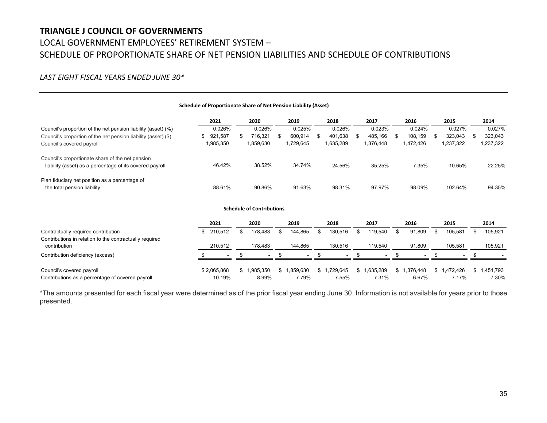## **TRIANGLE J COUNCIL OF GOVERNMENTS** LOCAL GOVERNMENT EMPLOYEES' RETIREMENT SYSTEM – SCHEDULE OF PROPORTIONATE SHARE OF NET PENSION LIABILITIES AND SCHEDULE OF CONTRIBUTIONS

## *LAST EIGHT FISCAL YEARS ENDED JUNE 30\**

| Schedule of Proportionate Share of Net Pension Liability (Asset)                                             |               |  |           |  |           |     |           |  |          |    |           |  |           |  |           |
|--------------------------------------------------------------------------------------------------------------|---------------|--|-----------|--|-----------|-----|-----------|--|----------|----|-----------|--|-----------|--|-----------|
|                                                                                                              | 2021          |  | 2020      |  | 2019      |     | 2018      |  | 2017     |    | 2016      |  | 2015      |  | 2014      |
| Council's proportion of the net pension liability (asset) (%)                                                | 0.026%        |  | 0.026%    |  | 0.025%    |     | 0.026%    |  | 0.023%   |    | 0.024%    |  | 0.027%    |  | 0.027%    |
| Council's proportion of the net pension liability (asset) (\$)                                               | 921.587<br>\$ |  | 716.321   |  | 600.914   | -\$ | 401,638   |  | 485.166  | £. | 108.159   |  | 323.043   |  | 323,043   |
| Council's covered payroll                                                                                    | 1,985,350     |  | 1,859,630 |  | 1.729.645 |     | 1,635,289 |  | .376.448 |    | 1.472.426 |  | 1,237,322 |  | 1,237,322 |
| Council's proportionate share of the net pension<br>liability (asset) as a percentage of its covered payroll | 46.42%        |  | 38.52%    |  | 34.74%    |     | 24.56%    |  | 35.25%   |    | 7.35%     |  | $-10.65%$ |  | 22.25%    |
| Plan fiduciary net position as a percentage of<br>the total pension liability                                | 88.61%        |  | 90.86%    |  | 91.63%    |     | 98.31%    |  | 97.97%   |    | 98.09%    |  | 102.64%   |  | 94.35%    |

#### **Schedule of Contributions**

|                                                                                                | 2021        | 2020     | 2019                     |     | 2018    | 2017                     | 2016     | 2015      | 2014     |
|------------------------------------------------------------------------------------------------|-------------|----------|--------------------------|-----|---------|--------------------------|----------|-----------|----------|
| Contractually required contribution<br>Contributions in relation to the contractually required | 210.512     | 178.483  | 144.865                  |     | 130.516 | 119.540                  | 91.809   | 105.581   | 105,921  |
| contribution                                                                                   | 210,512     | 178.483  | 144.865                  |     | 130.516 | 119.540                  | 91.809   | 105.581   | 105,921  |
| Contribution deficiency (excess)                                                               | $\sim$      |          | $\overline{\phantom{0}}$ |     | $\sim$  | $\overline{\phantom{a}}$ |          |           |          |
| Council's covered payroll                                                                      | \$2,065,868 | .985.350 | .859.630                 | \$1 | 729.645 | .635.289                 | .376.448 | 1.472.426 | .451,793 |
| Contributions as a percentage of covered payroll                                               | 10.19%      | 8.99%    | 7.79%                    |     | 7.55%   | 7.31%                    | 6.67%    | 7.17%     | 7.30%    |

\*The amounts presented for each fiscal year were determined as of the prior fiscal year ending June 30. Information is not available for years prior to those presented.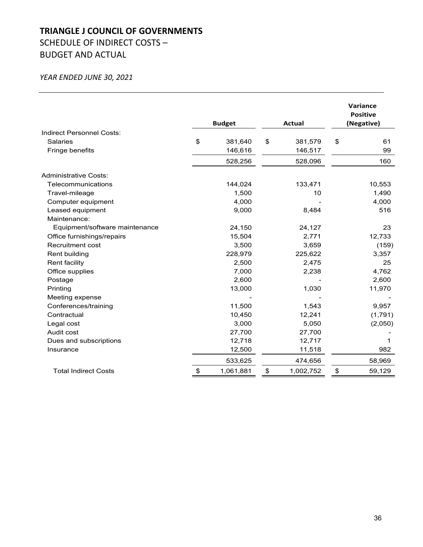## **TRIANGLE J COUNCIL OF GOVERNMENTS**  SCHEDULE OF INDIRECT COSTS –

BUDGET AND ACTUAL

| Indirect Personnel Costs:<br>\$<br><b>Salaries</b><br>381,640<br>\$<br>381,579<br>\$<br>Fringe benefits<br>146,616<br>146,517<br>528,256<br>528,096<br><b>Administrative Costs:</b><br>Telecommunications<br>144,024<br>133,471<br>1,500<br>10<br>Travel-mileage<br>Computer equipment<br>4,000<br>Leased equipment<br>9,000<br>8,484<br>Maintenance:<br>Equipment/software maintenance<br>24,150<br>24,127<br>15,504<br>Office furnishings/repairs<br>2,771<br>Recruitment cost<br>3,500<br>3,659<br>228,979<br>Rent building<br>225,622<br>2,500<br>2,475<br><b>Rent facility</b><br>7,000<br>Office supplies<br>2,238<br>2,600<br>Postage<br>13,000<br>Printing<br>1,030<br>Meeting expense<br>Conferences/training<br>11,500<br>1,543<br>10,450<br>12,241<br>Contractual<br>3,000<br>Legal cost<br>5,050<br>Audit cost<br>27,700<br>27,700<br>12,718<br>12,717<br>Dues and subscriptions<br>12,500<br>11,518<br>Insurance<br>533,625<br>474,656<br>\$<br>\$<br><b>Total Indirect Costs</b><br>\$<br>1,061,881<br>1,002,752 |  | <b>Budget</b> | <b>Actual</b> | Variance<br><b>Positive</b><br>(Negative) |
|--------------------------------------------------------------------------------------------------------------------------------------------------------------------------------------------------------------------------------------------------------------------------------------------------------------------------------------------------------------------------------------------------------------------------------------------------------------------------------------------------------------------------------------------------------------------------------------------------------------------------------------------------------------------------------------------------------------------------------------------------------------------------------------------------------------------------------------------------------------------------------------------------------------------------------------------------------------------------------------------------------------------------------|--|---------------|---------------|-------------------------------------------|
|                                                                                                                                                                                                                                                                                                                                                                                                                                                                                                                                                                                                                                                                                                                                                                                                                                                                                                                                                                                                                                |  |               |               |                                           |
|                                                                                                                                                                                                                                                                                                                                                                                                                                                                                                                                                                                                                                                                                                                                                                                                                                                                                                                                                                                                                                |  |               |               | 61                                        |
|                                                                                                                                                                                                                                                                                                                                                                                                                                                                                                                                                                                                                                                                                                                                                                                                                                                                                                                                                                                                                                |  |               |               | 99                                        |
|                                                                                                                                                                                                                                                                                                                                                                                                                                                                                                                                                                                                                                                                                                                                                                                                                                                                                                                                                                                                                                |  |               |               | 160                                       |
|                                                                                                                                                                                                                                                                                                                                                                                                                                                                                                                                                                                                                                                                                                                                                                                                                                                                                                                                                                                                                                |  |               |               |                                           |
|                                                                                                                                                                                                                                                                                                                                                                                                                                                                                                                                                                                                                                                                                                                                                                                                                                                                                                                                                                                                                                |  |               |               | 10,553                                    |
|                                                                                                                                                                                                                                                                                                                                                                                                                                                                                                                                                                                                                                                                                                                                                                                                                                                                                                                                                                                                                                |  |               |               | 1,490                                     |
|                                                                                                                                                                                                                                                                                                                                                                                                                                                                                                                                                                                                                                                                                                                                                                                                                                                                                                                                                                                                                                |  |               |               | 4,000                                     |
|                                                                                                                                                                                                                                                                                                                                                                                                                                                                                                                                                                                                                                                                                                                                                                                                                                                                                                                                                                                                                                |  |               |               | 516                                       |
|                                                                                                                                                                                                                                                                                                                                                                                                                                                                                                                                                                                                                                                                                                                                                                                                                                                                                                                                                                                                                                |  |               |               |                                           |
|                                                                                                                                                                                                                                                                                                                                                                                                                                                                                                                                                                                                                                                                                                                                                                                                                                                                                                                                                                                                                                |  |               |               | 23                                        |
|                                                                                                                                                                                                                                                                                                                                                                                                                                                                                                                                                                                                                                                                                                                                                                                                                                                                                                                                                                                                                                |  |               |               | 12,733                                    |
|                                                                                                                                                                                                                                                                                                                                                                                                                                                                                                                                                                                                                                                                                                                                                                                                                                                                                                                                                                                                                                |  |               |               | (159)                                     |
|                                                                                                                                                                                                                                                                                                                                                                                                                                                                                                                                                                                                                                                                                                                                                                                                                                                                                                                                                                                                                                |  |               |               | 3,357                                     |
|                                                                                                                                                                                                                                                                                                                                                                                                                                                                                                                                                                                                                                                                                                                                                                                                                                                                                                                                                                                                                                |  |               |               | 25                                        |
|                                                                                                                                                                                                                                                                                                                                                                                                                                                                                                                                                                                                                                                                                                                                                                                                                                                                                                                                                                                                                                |  |               |               | 4.762                                     |
|                                                                                                                                                                                                                                                                                                                                                                                                                                                                                                                                                                                                                                                                                                                                                                                                                                                                                                                                                                                                                                |  |               |               | 2,600                                     |
|                                                                                                                                                                                                                                                                                                                                                                                                                                                                                                                                                                                                                                                                                                                                                                                                                                                                                                                                                                                                                                |  |               |               | 11,970                                    |
|                                                                                                                                                                                                                                                                                                                                                                                                                                                                                                                                                                                                                                                                                                                                                                                                                                                                                                                                                                                                                                |  |               |               |                                           |
|                                                                                                                                                                                                                                                                                                                                                                                                                                                                                                                                                                                                                                                                                                                                                                                                                                                                                                                                                                                                                                |  |               |               | 9,957                                     |
|                                                                                                                                                                                                                                                                                                                                                                                                                                                                                                                                                                                                                                                                                                                                                                                                                                                                                                                                                                                                                                |  |               |               | (1,791)                                   |
|                                                                                                                                                                                                                                                                                                                                                                                                                                                                                                                                                                                                                                                                                                                                                                                                                                                                                                                                                                                                                                |  |               |               | (2,050)                                   |
|                                                                                                                                                                                                                                                                                                                                                                                                                                                                                                                                                                                                                                                                                                                                                                                                                                                                                                                                                                                                                                |  |               |               |                                           |
|                                                                                                                                                                                                                                                                                                                                                                                                                                                                                                                                                                                                                                                                                                                                                                                                                                                                                                                                                                                                                                |  |               |               | 1                                         |
|                                                                                                                                                                                                                                                                                                                                                                                                                                                                                                                                                                                                                                                                                                                                                                                                                                                                                                                                                                                                                                |  |               |               | 982                                       |
|                                                                                                                                                                                                                                                                                                                                                                                                                                                                                                                                                                                                                                                                                                                                                                                                                                                                                                                                                                                                                                |  |               |               | 58,969                                    |
|                                                                                                                                                                                                                                                                                                                                                                                                                                                                                                                                                                                                                                                                                                                                                                                                                                                                                                                                                                                                                                |  |               |               | 59,129                                    |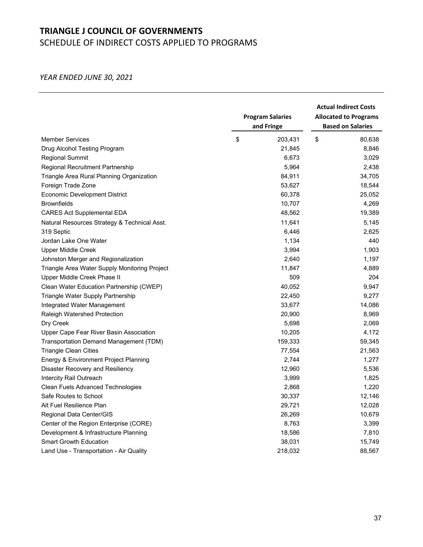## **TRIANGLE J COUNCIL OF GOVERNMENTS**  SCHEDULE OF INDIRECT COSTS APPLIED TO PROGRAMS

|                                               | <b>Program Salaries</b><br>and Fringe | <b>Actual Indirect Costs</b><br><b>Allocated to Programs</b><br><b>Based on Salaries</b> |
|-----------------------------------------------|---------------------------------------|------------------------------------------------------------------------------------------|
| <b>Member Services</b>                        | \$<br>203,431                         | \$<br>80,638                                                                             |
| Drug Alcohol Testing Program                  | 21,845                                | 8,846                                                                                    |
| Regional Summit                               | 6,673                                 | 3,029                                                                                    |
| Regional Recruitment Partnership              | 5,964                                 | 2,438                                                                                    |
| Triangle Area Rural Planning Organization     | 84,911                                | 34,705                                                                                   |
| Foreign Trade Zone                            | 53,627                                | 18,544                                                                                   |
| Economic Development District                 | 60,378                                | 25,052                                                                                   |
| <b>Brownfields</b>                            | 10,707                                | 4,269                                                                                    |
| <b>CARES Act Supplemental EDA</b>             | 48,562                                | 19,389                                                                                   |
| Natural Resources Strategy & Technical Asst.  | 11,641                                | 5,145                                                                                    |
| 319 Septic                                    | 6,446                                 | 2,625                                                                                    |
| Jordan Lake One Water                         | 1,134                                 | 440                                                                                      |
| <b>Upper Middle Creek</b>                     | 3,994                                 | 1,903                                                                                    |
| Johnston Merger and Regionalization           | 2,640                                 | 1,197                                                                                    |
| Triangle Area Water Supply Monitoring Project | 11,847                                | 4,889                                                                                    |
| Upper Middle Creek Phase II                   | 509                                   | 204                                                                                      |
| Clean Water Education Partnership (CWEP)      | 40,052                                | 9,947                                                                                    |
| Triangle Water Supply Partnership             | 22,450                                | 9,277                                                                                    |
| Integrated Water Management                   | 33,677                                | 14,086                                                                                   |
| Raleigh Watershed Protection                  | 20,900                                | 8,969                                                                                    |
| Dry Creek                                     | 5,698                                 | 2,069                                                                                    |
| Upper Cape Fear River Basin Association       | 10,205                                | 4,172                                                                                    |
| Transportation Demand Management (TDM)        | 159,333                               | 59,345                                                                                   |
| <b>Triangle Clean Cities</b>                  | 77,554                                | 21,563                                                                                   |
| Energy & Environment Project Planning         | 2,744                                 | 1,277                                                                                    |
| Disaster Recovery and Resiliency              | 12,960                                | 5,536                                                                                    |
| Intercity Rail Outreach                       | 3,999                                 | 1,825                                                                                    |
| Clean Fuels Advanced Technologies             | 2,868                                 | 1,220                                                                                    |
| Safe Routes to School                         | 30,337                                | 12,146                                                                                   |
| Alt Fuel Resilience Plan                      | 29,721                                | 12,028                                                                                   |
| Regional Data Center/GIS                      | 26,269                                | 10,679                                                                                   |
| Center of the Region Enterprise (CORE)        | 8,763                                 | 3,399                                                                                    |
| Development & Infrastructure Planning         | 18,586                                | 7,810                                                                                    |
| <b>Smart Growth Education</b>                 | 38,031                                | 15,749                                                                                   |
| Land Use - Transportation - Air Quality       | 218,032                               | 88,567                                                                                   |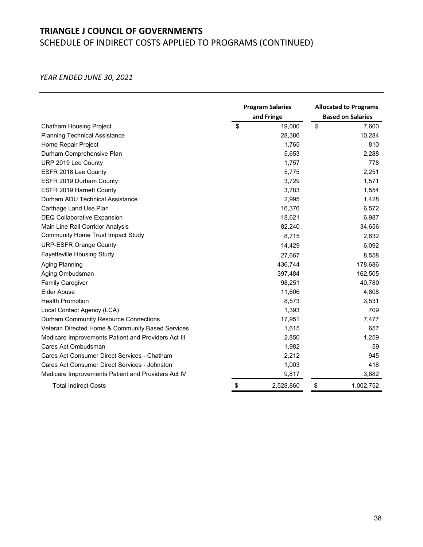## SCHEDULE OF INDIRECT COSTS APPLIED TO PROGRAMS (CONTINUED)

|                                                     | <b>Program Salaries</b><br>and Fringe | <b>Allocated to Programs</b><br><b>Based on Salaries</b> |
|-----------------------------------------------------|---------------------------------------|----------------------------------------------------------|
| Chatham Housing Project                             | \$<br>19,000                          | \$<br>7,600                                              |
| <b>Planning Technical Assistance</b>                | 28,386                                | 10,284                                                   |
| Home Repair Project                                 | 1,765                                 | 810                                                      |
| Durham Comprehensive Plan                           | 5,653                                 | 2,288                                                    |
| URP 2019 Lee County                                 | 1,757                                 | 778                                                      |
| ESFR 2018 Lee County                                | 5,775                                 | 2,251                                                    |
| ESFR 2019 Durham County                             | 3,729                                 | 1,571                                                    |
| ESFR 2019 Harnett County                            | 3,783                                 | 1,554                                                    |
| Durham ADU Technical Assistance                     | 2,995                                 | 1,428                                                    |
| Carthage Land Use Plan                              | 16,376                                | 6,572                                                    |
| <b>DEQ Collaborative Expansion</b>                  | 18,621                                | 6,987                                                    |
| Main Line Rail Corridor Analysis                    | 82,240                                | 34,656                                                   |
| <b>Community Home Trust Impact Study</b>            | 8,715                                 | 2,632                                                    |
| <b>URP-ESFR Orange County</b>                       | 14,429                                | 6,092                                                    |
| <b>Fayetteville Housing Study</b>                   | 27,667                                | 8,558                                                    |
| <b>Aging Planning</b>                               | 436,744                               | 178,686                                                  |
| Aging Ombudsman                                     | 397,484                               | 162,505                                                  |
| <b>Family Caregiver</b>                             | 98,251                                | 40,780                                                   |
| <b>Elder Abuse</b>                                  | 11,606                                | 4,808                                                    |
| <b>Health Promotion</b>                             | 8,573                                 | 3,531                                                    |
| Local Contact Agency (LCA)                          | 1,393                                 | 709                                                      |
| Durham Community Resource Connections               | 17,951                                | 7,477                                                    |
| Veteran Directed Home & Community Based Services    | 1,615                                 | 657                                                      |
| Medicare Improvements Patient and Providers Act III | 2,850                                 | 1,259                                                    |
| Cares Act Ombudsman                                 | 1,982                                 | 59                                                       |
| Cares Act Consumer Direct Services - Chatham        | 2,212                                 | 945                                                      |
| Cares Act Consumer Direct Services - Johnston       | 1,003                                 | 416                                                      |
| Medicare Improvements Patient and Providers Act IV  | 9,817                                 | 3,882                                                    |
| <b>Total Indirect Costs</b>                         | \$<br>2,528,860                       | \$<br>1,002,752                                          |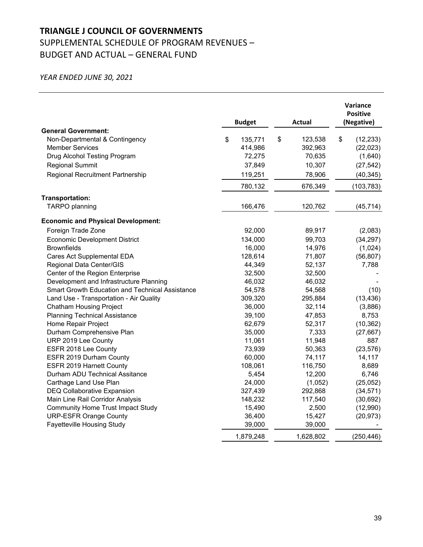## **TRIANGLE J COUNCIL OF GOVERNMENTS**  SUPPLEMENTAL SCHEDULE OF PROGRAM REVENUES – BUDGET AND ACTUAL – GENERAL FUND

|                                                        | <b>Budget</b> | Actual        | Variance<br><b>Positive</b><br>(Negative) |
|--------------------------------------------------------|---------------|---------------|-------------------------------------------|
| <b>General Government:</b>                             |               |               |                                           |
| Non-Departmental & Contingency                         | \$<br>135,771 | \$<br>123,538 | \$<br>(12, 233)                           |
| <b>Member Services</b>                                 | 414,986       | 392,963       | (22, 023)                                 |
| Drug Alcohol Testing Program                           | 72,275        | 70,635        | (1,640)                                   |
| <b>Regional Summit</b>                                 | 37,849        | 10,307        | (27, 542)                                 |
| Regional Recruitment Partnership                       | 119,251       | 78,906        | (40, 345)                                 |
|                                                        | 780,132       | 676,349       | (103, 783)                                |
| <b>Transportation:</b>                                 |               |               |                                           |
| <b>TARPO</b> planning                                  | 166,476       | 120,762       | (45, 714)                                 |
| <b>Economic and Physical Development:</b>              |               |               |                                           |
| Foreign Trade Zone                                     | 92,000        | 89,917        | (2,083)                                   |
| <b>Economic Development District</b>                   | 134,000       | 99,703        | (34, 297)                                 |
| <b>Brownfields</b>                                     | 16,000        | 14,976        | (1,024)                                   |
| Cares Act Supplemental EDA                             | 128,614       | 71,807        | (56, 807)                                 |
| Regional Data Center/GIS                               | 44,349        | 52,137        | 7,788                                     |
| Center of the Region Enterprise                        | 32,500        | 32,500        |                                           |
| Development and Infrastructure Planning                | 46,032        | 46,032        |                                           |
| <b>Smart Growth Education and Technical Assistance</b> | 54,578        | 54,568        | (10)                                      |
| Land Use - Transportation - Air Quality                | 309,320       | 295,884       | (13, 436)                                 |
| <b>Chatham Housing Project</b>                         | 36,000        | 32,114        | (3,886)                                   |
| <b>Planning Technical Assistance</b>                   | 39,100        | 47,853        | 8,753                                     |
| Home Repair Project                                    | 62,679        | 52,317        | (10, 362)                                 |
| Durham Comprehensive Plan                              | 35,000        | 7,333         | (27, 667)                                 |
| URP 2019 Lee County                                    | 11,061        | 11,948        | 887                                       |
| ESFR 2018 Lee County                                   | 73,939        | 50,363        | (23, 576)                                 |
| ESFR 2019 Durham County                                | 60,000        | 74,117        | 14,117                                    |
| ESFR 2019 Harnett County                               | 108,061       | 116,750       | 8,689                                     |
| Durham ADU Technical Assitance                         | 5,454         | 12,200        | 6,746                                     |
| Carthage Land Use Plan                                 | 24,000        | (1,052)       | (25,052)                                  |
| DEQ Collaborative Expansion                            | 327,439       | 292,868       | (34, 571)                                 |
| Main Line Rail Corridor Analysis                       | 148,232       | 117,540       | (30, 692)                                 |
| <b>Community Home Trust Impact Study</b>               | 15,490        | 2,500         | (12,990)                                  |
| <b>URP-ESFR Orange County</b>                          | 36,400        | 15,427        | (20, 973)                                 |
| <b>Fayetteville Housing Study</b>                      | 39,000        | 39,000        |                                           |
|                                                        | 1,879,248     | 1,628,802     | (250, 446)                                |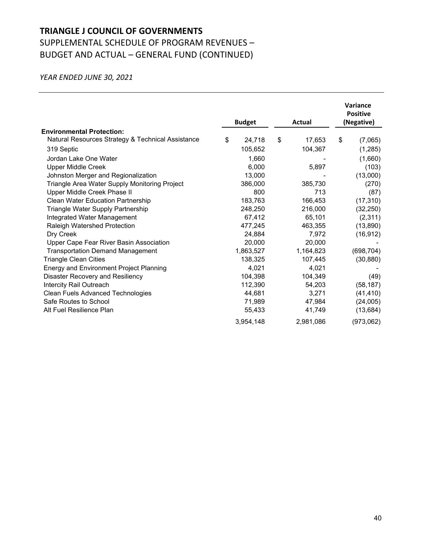## **TRIANGLE J COUNCIL OF GOVERNMENTS**  SUPPLEMENTAL SCHEDULE OF PROGRAM REVENUES – BUDGET AND ACTUAL – GENERAL FUND (CONTINUED)

|                                                   | <b>Budget</b> | Actual       | Variance<br><b>Positive</b><br>(Negative) |
|---------------------------------------------------|---------------|--------------|-------------------------------------------|
| <b>Environmental Protection:</b>                  |               |              |                                           |
| Natural Resources Strategy & Technical Assistance | \$<br>24,718  | \$<br>17,653 | \$<br>(7,065)                             |
| 319 Septic                                        | 105,652       | 104,367      | (1,285)                                   |
| Jordan Lake One Water                             | 1,660         |              | (1,660)                                   |
| <b>Upper Middle Creek</b>                         | 6,000         | 5,897        | (103)                                     |
| Johnston Merger and Regionalization               | 13,000        |              | (13,000)                                  |
| Triangle Area Water Supply Monitoring Project     | 386,000       | 385,730      | (270)                                     |
| Upper Middle Creek Phase II                       | 800           | 713          | (87)                                      |
| <b>Clean Water Education Partnership</b>          | 183,763       | 166,453      | (17, 310)                                 |
| Triangle Water Supply Partnership                 | 248,250       | 216,000      | (32, 250)                                 |
| Integrated Water Management                       | 67,412        | 65,101       | (2,311)                                   |
| Raleigh Watershed Protection                      | 477,245       | 463,355      | (13,890)                                  |
| Dry Creek                                         | 24,884        | 7,972        | (16, 912)                                 |
| Upper Cape Fear River Basin Association           | 20,000        | 20,000       |                                           |
| <b>Transportation Demand Management</b>           | 1,863,527     | 1,164,823    | (698, 704)                                |
| <b>Triangle Clean Cities</b>                      | 138,325       | 107,445      | (30, 880)                                 |
| <b>Energy and Environment Project Planning</b>    | 4,021         | 4,021        |                                           |
| Disaster Recovery and Resiliency                  | 104,398       | 104,349      | (49)                                      |
| Intercity Rail Outreach                           | 112,390       | 54,203       | (58, 187)                                 |
| <b>Clean Fuels Advanced Technologies</b>          | 44,681        | 3,271        | (41, 410)                                 |
| Safe Routes to School                             | 71,989        | 47,984       | (24,005)                                  |
| Alt Fuel Resilience Plan                          | 55,433        | 41,749       | (13, 684)                                 |
|                                                   | 3,954,148     | 2,981,086    | (973,062)                                 |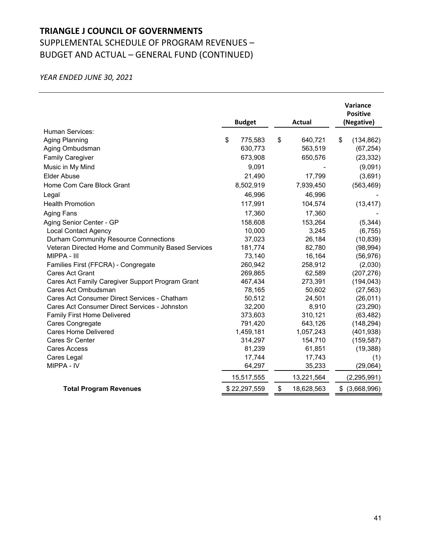## **TRIANGLE J COUNCIL OF GOVERNMENTS**  SUPPLEMENTAL SCHEDULE OF PROGRAM REVENUES – BUDGET AND ACTUAL – GENERAL FUND (CONTINUED)

|                                                      | <b>Budget</b> | <b>Actual</b>    | Variance<br><b>Positive</b><br>(Negative) |
|------------------------------------------------------|---------------|------------------|-------------------------------------------|
| <b>Human Services:</b>                               |               |                  |                                           |
| <b>Aging Planning</b>                                | \$<br>775,583 | \$<br>640,721    | \$<br>(134, 862)                          |
| Aging Ombudsman                                      | 630,773       | 563,519          | (67, 254)                                 |
| <b>Family Caregiver</b>                              | 673,908       | 650,576          | (23, 332)                                 |
| Music in My Mind                                     | 9,091         |                  | (9,091)                                   |
| <b>Elder Abuse</b>                                   | 21,490        | 17,799           | (3,691)                                   |
| Home Com Care Block Grant                            | 8,502,919     | 7,939,450        | (563, 469)                                |
| Legal                                                | 46,996        | 46,996           |                                           |
| <b>Health Promotion</b>                              | 117,991       | 104,574          | (13, 417)                                 |
| <b>Aging Fans</b>                                    | 17,360        | 17,360           |                                           |
| Aging Senior Center - GP                             | 158,608       | 153,264          | (5, 344)                                  |
| <b>Local Contact Agency</b>                          | 10,000        | 3,245            | (6, 755)                                  |
| <b>Durham Community Resource Connections</b>         | 37,023        | 26,184           | (10, 839)                                 |
| Veteran Directed Home and Community Based Services   | 181,774       | 82,780           | (98, 994)                                 |
| MIPPA - III                                          | 73,140        | 16,164           | (56, 976)                                 |
| Families First (FFCRA) - Congregate                  | 260,942       | 258,912          | (2,030)                                   |
| <b>Cares Act Grant</b>                               | 269,865       | 62,589           | (207, 276)                                |
| Cares Act Family Caregiver Support Program Grant     | 467,434       | 273,391          | (194, 043)                                |
| Cares Act Ombudsman                                  | 78,165        | 50,602           | (27, 563)                                 |
| Cares Act Consumer Direct Services - Chatham         | 50,512        | 24,501           | (26, 011)                                 |
| <b>Cares Act Consumer Direct Services - Johnston</b> | 32,200        | 8,910            | (23, 290)                                 |
| <b>Family First Home Delivered</b>                   | 373,603       | 310,121          | (63, 482)                                 |
| Cares Congregate                                     | 791,420       | 643,126          | (148, 294)                                |
| <b>Cares Home Delivered</b>                          | 1,459,181     | 1,057,243        | (401, 938)                                |
| <b>Cares Sr Center</b>                               | 314,297       | 154,710          | (159, 587)                                |
| <b>Cares Access</b>                                  | 81,239        | 61,851           | (19, 388)                                 |
| Cares Legal                                          | 17,744        | 17,743           | (1)                                       |
| MIPPA - IV                                           | 64,297        | 35,233           | (29,064)                                  |
|                                                      | 15,517,555    | 13,221,564       | (2, 295, 991)                             |
| <b>Total Program Revenues</b>                        | \$22,297,559  | \$<br>18,628,563 | $$$ $(3,668,996)$                         |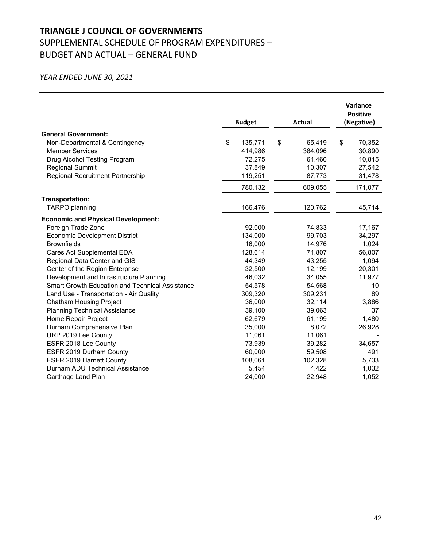## SUPPLEMENTAL SCHEDULE OF PROGRAM EXPENDITURES – BUDGET AND ACTUAL – GENERAL FUND

|                                                        | <b>Budget</b> | Actual       | Variance<br><b>Positive</b><br>(Negative) |
|--------------------------------------------------------|---------------|--------------|-------------------------------------------|
| <b>General Government:</b>                             |               |              |                                           |
| Non-Departmental & Contingency                         | \$<br>135,771 | \$<br>65,419 | \$<br>70,352                              |
| <b>Member Services</b>                                 | 414,986       | 384,096      | 30,890                                    |
| Drug Alcohol Testing Program                           | 72,275        | 61,460       | 10,815                                    |
| <b>Regional Summit</b>                                 | 37,849        | 10,307       | 27,542                                    |
| Regional Recruitment Partnership                       | 119,251       | 87,773       | 31,478                                    |
|                                                        | 780,132       | 609,055      | 171,077                                   |
| <b>Transportation:</b>                                 |               |              |                                           |
| <b>TARPO</b> planning                                  | 166,476       | 120,762      | 45,714                                    |
| <b>Economic and Physical Development:</b>              |               |              |                                           |
| Foreign Trade Zone                                     | 92,000        | 74,833       | 17,167                                    |
| <b>Economic Development District</b>                   | 134,000       | 99,703       | 34,297                                    |
| <b>Brownfields</b>                                     | 16,000        | 14,976       | 1,024                                     |
| <b>Cares Act Supplemental EDA</b>                      | 128,614       | 71,807       | 56,807                                    |
| Regional Data Center and GIS                           | 44,349        | 43,255       | 1,094                                     |
| Center of the Region Enterprise                        | 32,500        | 12,199       | 20,301                                    |
| Development and Infrastructure Planning                | 46,032        | 34,055       | 11,977                                    |
| <b>Smart Growth Education and Technical Assistance</b> | 54,578        | 54,568       | 10                                        |
| Land Use - Transportation - Air Quality                | 309,320       | 309,231      | 89                                        |
| <b>Chatham Housing Project</b>                         | 36,000        | 32,114       | 3,886                                     |
| <b>Planning Technical Assistance</b>                   | 39,100        | 39,063       | 37                                        |
| Home Repair Project                                    | 62,679        | 61,199       | 1,480                                     |
| Durham Comprehensive Plan                              | 35,000        | 8,072        | 26,928                                    |
| URP 2019 Lee County                                    | 11,061        | 11,061       |                                           |
| ESFR 2018 Lee County                                   | 73,939        | 39,282       | 34,657                                    |
| ESFR 2019 Durham County                                | 60,000        | 59,508       | 491                                       |
| ESFR 2019 Harnett County                               | 108,061       | 102,328      | 5,733                                     |
| Durham ADU Technical Assistance                        | 5,454         | 4,422        | 1,032                                     |
| Carthage Land Plan                                     | 24,000        | 22,948       | 1,052                                     |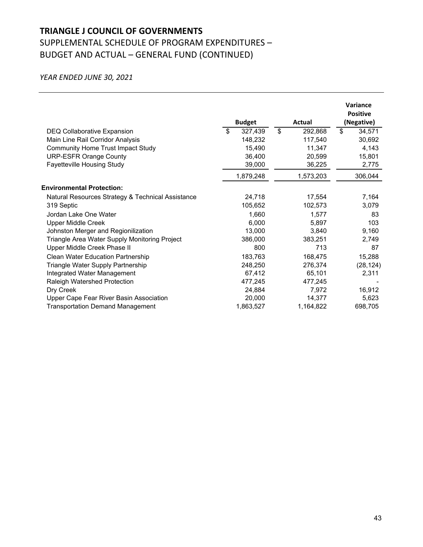## **TRIANGLE J COUNCIL OF GOVERNMENTS**  SUPPLEMENTAL SCHEDULE OF PROGRAM EXPENDITURES – BUDGET AND ACTUAL – GENERAL FUND (CONTINUED)

|                                                   | <b>Budget</b> | Actual        | Variance<br><b>Positive</b><br>(Negative) |
|---------------------------------------------------|---------------|---------------|-------------------------------------------|
| <b>DEQ Collaborative Expansion</b>                | \$<br>327,439 | \$<br>292,868 | \$<br>34,571                              |
| Main Line Rail Corridor Analysis                  | 148,232       | 117,540       | 30,692                                    |
| <b>Community Home Trust Impact Study</b>          | 15,490        | 11,347        | 4,143                                     |
| <b>URP-ESFR Orange County</b>                     | 36,400        | 20,599        | 15,801                                    |
| Fayetteville Housing Study                        | 39,000        | 36,225        | 2,775                                     |
|                                                   | 1,879,248     | 1,573,203     | 306,044                                   |
| <b>Environmental Protection:</b>                  |               |               |                                           |
| Natural Resources Strategy & Technical Assistance | 24,718        | 17,554        | 7,164                                     |
| 319 Septic                                        | 105,652       | 102,573       | 3,079                                     |
| Jordan Lake One Water                             | 1,660         | 1,577         | 83                                        |
| <b>Upper Middle Creek</b>                         | 6,000         | 5,897         | 103                                       |
| Johnston Merger and Regionilization               | 13,000        | 3,840         | 9,160                                     |
| Triangle Area Water Supply Monitoring Project     | 386,000       | 383,251       | 2,749                                     |
| Upper Middle Creek Phase II                       | 800           | 713           | 87                                        |
| Clean Water Education Partnership                 | 183,763       | 168,475       | 15,288                                    |
| Triangle Water Supply Partnership                 | 248,250       | 276,374       | (28, 124)                                 |
| Integrated Water Management                       | 67,412        | 65,101        | 2,311                                     |
| Raleigh Watershed Protection                      | 477,245       | 477,245       |                                           |
| Dry Creek                                         | 24,884        | 7,972         | 16,912                                    |
| Upper Cape Fear River Basin Association           | 20,000        | 14,377        | 5,623                                     |
| <b>Transportation Demand Management</b>           | 1,863,527     | 1,164,822     | 698,705                                   |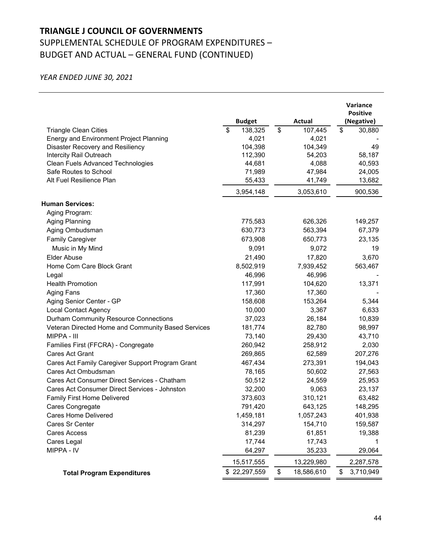# **TRIANGLE J COUNCIL OF GOVERNMENTS**  SUPPLEMENTAL SCHEDULE OF PROGRAM EXPENDITURES – BUDGET AND ACTUAL – GENERAL FUND (CONTINUED)

|                                                    | <b>Budget</b> | <b>Actual</b>    | Variance<br><b>Positive</b><br>(Negative) |
|----------------------------------------------------|---------------|------------------|-------------------------------------------|
| <b>Triangle Clean Cities</b>                       | \$<br>138,325 | \$<br>107,445    | \$<br>30,880                              |
| <b>Energy and Environment Project Planning</b>     | 4,021         | 4,021            |                                           |
| Disaster Recovery and Resiliency                   | 104,398       | 104,349          | 49                                        |
| Intercity Rail Outreach                            | 112,390       | 54,203           | 58,187                                    |
| <b>Clean Fuels Advanced Technologies</b>           | 44,681        | 4,088            | 40,593                                    |
| Safe Routes to School                              | 71,989        | 47,984           | 24,005                                    |
| Alt Fuel Resilience Plan                           | 55,433        | 41,749           | 13,682                                    |
|                                                    | 3,954,148     | 3,053,610        | 900,536                                   |
| <b>Human Services:</b>                             |               |                  |                                           |
| Aging Program:                                     |               |                  |                                           |
| <b>Aging Planning</b>                              | 775,583       | 626,326          | 149,257                                   |
| Aging Ombudsman                                    | 630,773       | 563,394          | 67,379                                    |
| <b>Family Caregiver</b>                            | 673,908       | 650,773          | 23,135                                    |
| Music in My Mind                                   | 9,091         | 9,072            | 19                                        |
| <b>Elder Abuse</b>                                 | 21,490        | 17,820           | 3,670                                     |
| Home Com Care Block Grant                          | 8,502,919     | 7,939,452        | 563,467                                   |
| Legal                                              | 46,996        | 46,996           |                                           |
| <b>Health Promotion</b>                            | 117,991       | 104,620          | 13,371                                    |
| <b>Aging Fans</b>                                  | 17,360        | 17,360           |                                           |
| Aging Senior Center - GP                           | 158,608       | 153,264          | 5,344                                     |
| <b>Local Contact Agency</b>                        | 10,000        | 3,367            | 6,633                                     |
| <b>Durham Community Resource Connections</b>       | 37,023        | 26,184           | 10,839                                    |
| Veteran Directed Home and Community Based Services | 181,774       | 82,780           | 98,997                                    |
| MIPPA - III                                        | 73,140        | 29,430           | 43,710                                    |
| Families First (FFCRA) - Congregate                | 260,942       | 258,912          | 2,030                                     |
| <b>Cares Act Grant</b>                             | 269,865       | 62,589           | 207,276                                   |
| Cares Act Family Caregiver Support Program Grant   | 467,434       | 273,391          | 194,043                                   |
| Cares Act Ombudsman                                | 78,165        | 50,602           | 27,563                                    |
| Cares Act Consumer Direct Services - Chatham       | 50,512        | 24,559           | 25,953                                    |
| Cares Act Consumer Direct Services - Johnston      | 32,200        | 9,063            | 23,137                                    |
| Family First Home Delivered                        | 373,603       | 310,121          | 63,482                                    |
| Cares Congregate                                   | 791,420       | 643,125          | 148,295                                   |
| <b>Cares Home Delivered</b>                        | 1,459,181     | 1,057,243        | 401,938                                   |
| Cares Sr Center                                    | 314,297       | 154,710          | 159,587                                   |
| <b>Cares Access</b>                                | 81,239        | 61,851           | 19,388                                    |
| Cares Legal                                        | 17,744        | 17,743           | 1                                         |
| MIPPA - IV                                         | 64,297        | 35,233           | 29,064                                    |
|                                                    | 15,517,555    | 13,229,980       | 2,287,578                                 |
| <b>Total Program Expenditures</b>                  | \$22,297,559  | \$<br>18,586,610 | \$<br>3,710,949                           |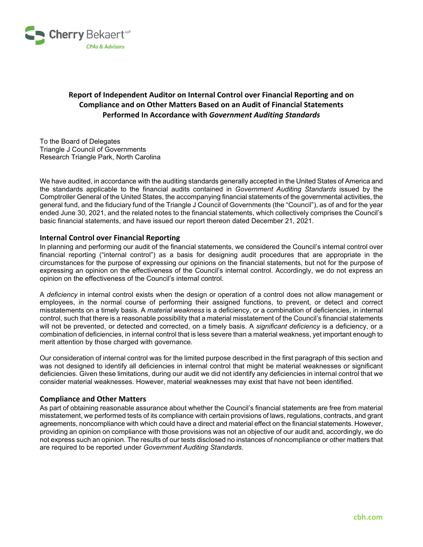

## **Report of Independent Auditor on Internal Control over Financial Reporting and on Compliance and on Other Matters Based on an Audit of Financial Statements Performed In Accordance with** *Government Auditing Standards*

To the Board of Delegates Triangle J Council of Governments Research Triangle Park, North Carolina

We have audited, in accordance with the auditing standards generally accepted in the United States of America and the standards applicable to the financial audits contained in *Government Auditing Standards* issued by the Comptroller General of the United States, the accompanying financial statements of the governmental activities, the general fund, and the fiduciary fund of the Triangle J Council of Governments (the "Council"), as of and for the year ended June 30, 2021, and the related notes to the financial statements, which collectively comprises the Council's basic financial statements, and have issued our report thereon dated December 21, 2021.

### **Internal Control over Financial Reporting**

In planning and performing our audit of the financial statements, we considered the Council's internal control over financial reporting ("internal control") as a basis for designing audit procedures that are appropriate in the circumstances for the purpose of expressing our opinions on the financial statements, but not for the purpose of expressing an opinion on the effectiveness of the Council's internal control. Accordingly, we do not express an opinion on the effectiveness of the Council's internal control.

A *deficiency* in internal control exists when the design or operation of a control does not allow management or employees, in the normal course of performing their assigned functions, to prevent, or detect and correct misstatements on a timely basis. A *material weakness* is a deficiency, or a combination of deficiencies, in internal control, such that there is a reasonable possibility that a material misstatement of the Council's financial statements will not be prevented, or detected and corrected, on a timely basis. A *significant deficiency* is a deficiency, or a combination of deficiencies, in internal control that is less severe than a material weakness, yet important enough to merit attention by those charged with governance.

Our consideration of internal control was for the limited purpose described in the first paragraph of this section and was not designed to identify all deficiencies in internal control that might be material weaknesses or significant deficiencies. Given these limitations, during our audit we did not identify any deficiencies in internal control that we consider material weaknesses. However, material weaknesses may exist that have not been identified.

### **Compliance and Other Matters**

As part of obtaining reasonable assurance about whether the Council's financial statements are free from material misstatement, we performed tests of its compliance with certain provisions of laws, regulations, contracts, and grant agreements, noncompliance with which could have a direct and material effect on the financial statements. However, providing an opinion on compliance with those provisions was not an objective of our audit and, accordingly, we do not express such an opinion. The results of our tests disclosed no instances of noncompliance or other matters that are required to be reported under *Government Auditing Standards*.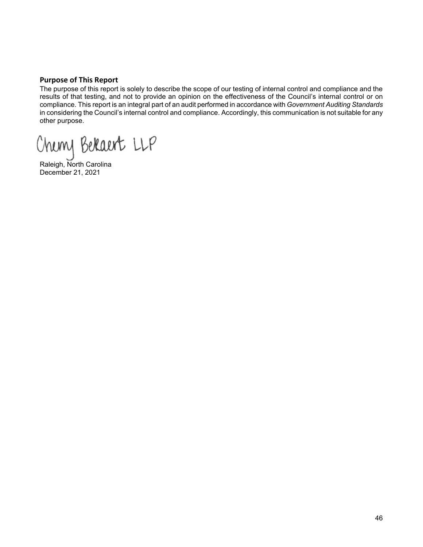## **Purpose of This Report**

The purpose of this report is solely to describe the scope of our testing of internal control and compliance and the results of that testing, and not to provide an opinion on the effectiveness of the Council's internal control or on compliance. This report is an integral part of an audit performed in accordance with *Government Auditing Standards*  in considering the Council's internal control and compliance. Accordingly, this communication is not suitable for any other purpose.

Chuny Bekaert LLP

Raleigh, North Carolina December 21, 2021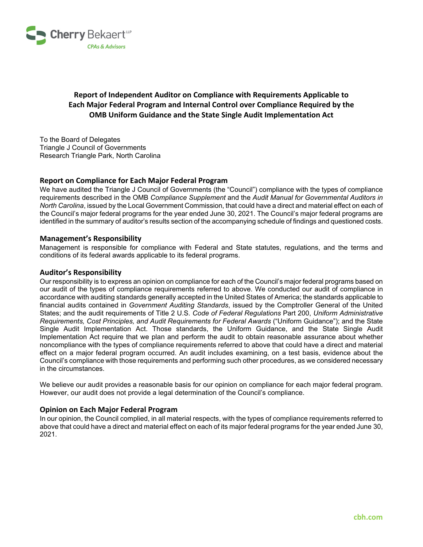

## **Report of Independent Auditor on Compliance with Requirements Applicable to Each Major Federal Program and Internal Control over Compliance Required by the OMB Uniform Guidance and the State Single Audit Implementation Act**

To the Board of Delegates Triangle J Council of Governments Research Triangle Park, North Carolina

### **Report on Compliance for Each Major Federal Program**

We have audited the Triangle J Council of Governments (the "Council") compliance with the types of compliance requirements described in the OMB *Compliance Supplement* and the *Audit Manual for Governmental Auditors in North Carolina*, issued by the Local Government Commission, that could have a direct and material effect on each of the Council's major federal programs for the year ended June 30, 2021. The Council's major federal programs are identified in the summary of auditor's results section of the accompanying schedule of findings and questioned costs.

### **Management's Responsibility**

Management is responsible for compliance with Federal and State statutes, regulations, and the terms and conditions of its federal awards applicable to its federal programs.

### **Auditor's Responsibility**

Our responsibility is to express an opinion on compliance for each of the Council's major federal programs based on our audit of the types of compliance requirements referred to above. We conducted our audit of compliance in accordance with auditing standards generally accepted in the United States of America; the standards applicable to financial audits contained in *Government Auditing Standards*, issued by the Comptroller General of the United States; and the audit requirements of Title 2 U.S. *Code of Federal Regulations* Part 200, *Uniform Administrative Requirements, Cost Principles, and Audit Requirements for Federal Awards* ("Uniform Guidance"); and the State Single Audit Implementation Act. Those standards, the Uniform Guidance, and the State Single Audit Implementation Act require that we plan and perform the audit to obtain reasonable assurance about whether noncompliance with the types of compliance requirements referred to above that could have a direct and material effect on a major federal program occurred. An audit includes examining, on a test basis, evidence about the Council's compliance with those requirements and performing such other procedures, as we considered necessary in the circumstances.

We believe our audit provides a reasonable basis for our opinion on compliance for each major federal program. However, our audit does not provide a legal determination of the Council's compliance.

### **Opinion on Each Major Federal Program**

In our opinion, the Council complied, in all material respects, with the types of compliance requirements referred to above that could have a direct and material effect on each of its major federal programs for the year ended June 30, 2021.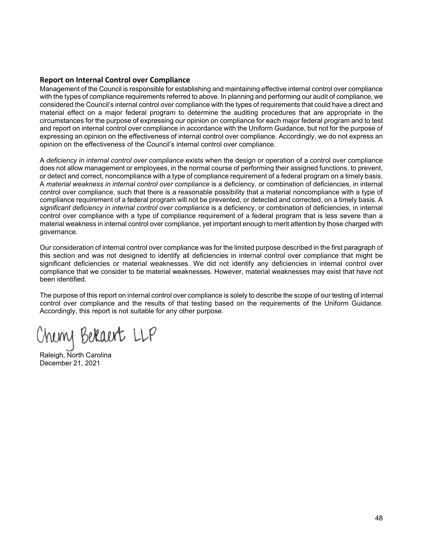### **Report on Internal Control over Compliance**

Management of the Council is responsible for establishing and maintaining effective internal control over compliance with the types of compliance requirements referred to above. In planning and performing our audit of compliance, we considered the Council's internal control over compliance with the types of requirements that could have a direct and material effect on a major federal program to determine the auditing procedures that are appropriate in the circumstances for the purpose of expressing our opinion on compliance for each major federal program and to test and report on internal control over compliance in accordance with the Uniform Guidance, but not for the purpose of expressing an opinion on the effectiveness of internal control over compliance. Accordingly, we do not express an opinion on the effectiveness of the Council's internal control over compliance.

A *deficiency in internal control over compliance* exists when the design or operation of a control over compliance does not allow management or employees, in the normal course of performing their assigned functions, to prevent, or detect and correct, noncompliance with a type of compliance requirement of a federal program on a timely basis. A *material weakness in internal control over compliance* is a deficiency, or combination of deficiencies, in internal control over compliance, such that there is a reasonable possibility that a material noncompliance with a type of compliance requirement of a federal program will not be prevented, or detected and corrected, on a timely basis. A *significant deficiency in internal control over compliance* is a deficiency, or combination of deficiencies, in internal control over compliance with a type of compliance requirement of a federal program that is less severe than a material weakness in internal control over compliance, yet important enough to merit attention by those charged with governance.

Our consideration of internal control over compliance was for the limited purpose described in the first paragraph of this section and was not designed to identify all deficiencies in internal control over compliance that might be significant deficiencies or material weaknesses. We did not identify any deficiencies in internal control over compliance that we consider to be material weaknesses. However, material weaknesses may exist that have not been identified.

The purpose of this report on internal control over compliance is solely to describe the scope of our testing of internal control over compliance and the results of that testing based on the requirements of the Uniform Guidance. Accordingly, this report is not suitable for any other purpose.

Chuny Belaert LLP

Raleigh, North Carolina December 21, 2021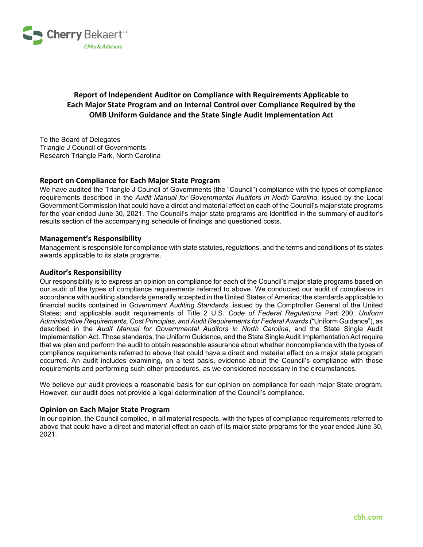

## **Report of Independent Auditor on Compliance with Requirements Applicable to Each Major State Program and on Internal Control over Compliance Required by the OMB Uniform Guidance and the State Single Audit Implementation Act**

To the Board of Delegates Triangle J Council of Governments Research Triangle Park, North Carolina

### **Report on Compliance for Each Major State Program**

We have audited the Triangle J Council of Governments (the "Council") compliance with the types of compliance requirements described in the *Audit Manual for Governmental Auditors in North Carolina*, issued by the Local Government Commission that could have a direct and material effect on each of the Council's major state programs for the year ended June 30, 2021. The Council's major state programs are identified in the summary of auditor's results section of the accompanying schedule of findings and questioned costs.

### **Management's Responsibility**

Management is responsible for compliance with state statutes, regulations, and the terms and conditions of its states awards applicable to its state programs.

### **Auditor's Responsibility**

Our responsibility is to express an opinion on compliance for each of the Council's major state programs based on our audit of the types of compliance requirements referred to above. We conducted our audit of compliance in accordance with auditing standards generally accepted in the United States of America; the standards applicable to financial audits contained in *Government Auditing Standards,* issued by the Comptroller General of the United States; and applicable audit requirements of Title 2 U.S. *Code of Federal Regulations* Part 200, *Uniform Administrative Requirements, Cost Principles, and Audit Requirements for Federal Awards* ("Uniform Guidance"), as described in the *Audit Manual for Governmental Auditors in North Carolina*, and the State Single Audit Implementation Act. Those standards, the Uniform Guidance, and the State Single Audit Implementation Act require that we plan and perform the audit to obtain reasonable assurance about whether noncompliance with the types of compliance requirements referred to above that could have a direct and material effect on a major state program occurred. An audit includes examining, on a test basis, evidence about the Council's compliance with those requirements and performing such other procedures, as we considered necessary in the circumstances.

We believe our audit provides a reasonable basis for our opinion on compliance for each major State program. However, our audit does not provide a legal determination of the Council's compliance.

### **Opinion on Each Major State Program**

In our opinion, the Council complied, in all material respects, with the types of compliance requirements referred to above that could have a direct and material effect on each of its major state programs for the year ended June 30, 2021.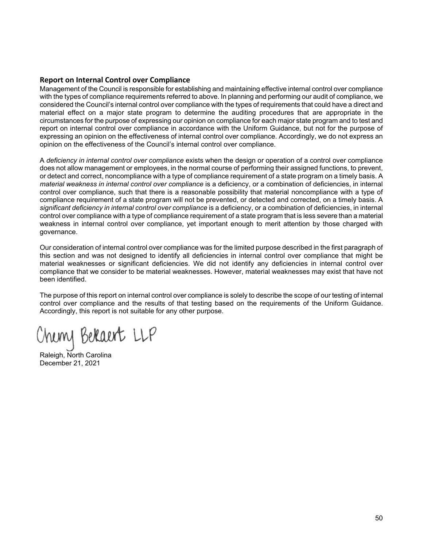### **Report on Internal Control over Compliance**

Management of the Council is responsible for establishing and maintaining effective internal control over compliance with the types of compliance requirements referred to above. In planning and performing our audit of compliance, we considered the Council's internal control over compliance with the types of requirements that could have a direct and material effect on a major state program to determine the auditing procedures that are appropriate in the circumstances for the purpose of expressing our opinion on compliance for each major state program and to test and report on internal control over compliance in accordance with the Uniform Guidance, but not for the purpose of expressing an opinion on the effectiveness of internal control over compliance. Accordingly, we do not express an opinion on the effectiveness of the Council's internal control over compliance.

A *deficiency in internal control over compliance* exists when the design or operation of a control over compliance does not allow management or employees, in the normal course of performing their assigned functions, to prevent, or detect and correct, noncompliance with a type of compliance requirement of a state program on a timely basis. A *material weakness in internal control over compliance* is a deficiency, or a combination of deficiencies, in internal control over compliance, such that there is a reasonable possibility that material noncompliance with a type of compliance requirement of a state program will not be prevented, or detected and corrected, on a timely basis. A *significant deficiency in internal control over compliance* is a deficiency, or a combination of deficiencies, in internal control over compliance with a type of compliance requirement of a state program that is less severe than a material weakness in internal control over compliance, yet important enough to merit attention by those charged with governance.

Our consideration of internal control over compliance was for the limited purpose described in the first paragraph of this section and was not designed to identify all deficiencies in internal control over compliance that might be material weaknesses or significant deficiencies. We did not identify any deficiencies in internal control over compliance that we consider to be material weaknesses. However, material weaknesses may exist that have not been identified.

The purpose of this report on internal control over compliance is solely to describe the scope of our testing of internal control over compliance and the results of that testing based on the requirements of the Uniform Guidance. Accordingly, this report is not suitable for any other purpose.

Chuny Belaert LLP

Raleigh, North Carolina December 21, 2021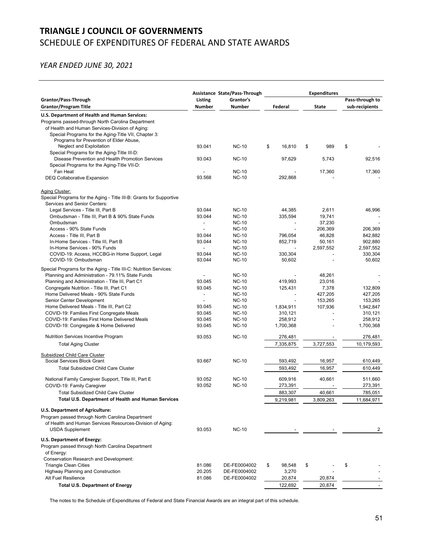## **TRIANGLE J COUNCIL OF GOVERNMENTS** SCHEDULE OF EXPENDITURES OF FEDERAL AND STATE AWARDS

## *YEAR ENDED JUNE 30, 2021*

|                                                                     |                          | Assistance State/Pass-Through |              | <b>Expenditures</b> |                 |
|---------------------------------------------------------------------|--------------------------|-------------------------------|--------------|---------------------|-----------------|
| Grantor/Pass-Through                                                | Listing                  | Grantor's                     |              |                     | Pass-through to |
| <b>Grantor/Program Title</b>                                        | Number                   | <b>Number</b>                 | Federal      | State               | sub-recipients  |
| U.S. Department of Health and Human Services:                       |                          |                               |              |                     |                 |
| Programs passed-through North Carolina Department                   |                          |                               |              |                     |                 |
| of Health and Human Services-Division of Aging:                     |                          |                               |              |                     |                 |
| Special Programs for the Aging-Title VII, Chapter 3:                |                          |                               |              |                     |                 |
| Programs for Prevention of Elder Abuse,                             |                          |                               |              |                     |                 |
| <b>Neglect and Exploitation</b>                                     | 93.041                   | <b>NC-10</b>                  | \$<br>16,810 | \$<br>989           | \$              |
| Special Programs for the Aging-Title III-D:                         |                          |                               |              |                     |                 |
| Disease Prevention and Health Promotion Services                    | 93.043                   | <b>NC-10</b>                  | 97,629       | 5,743               | 92,516          |
| Special Programs for the Aging-Title VII-D:                         |                          |                               |              |                     |                 |
| Fan Heat                                                            |                          | <b>NC-10</b>                  |              | 17,360              | 17,360          |
| <b>DEQ Collaborative Expansion</b>                                  | 93.568                   | <b>NC-10</b>                  | 292,868      |                     |                 |
| Aging Cluster:                                                      |                          |                               |              |                     |                 |
| Special Programs for the Aging - Title III-B: Grants for Supportive |                          |                               |              |                     |                 |
| Services and Senior Centers:                                        |                          |                               |              |                     |                 |
| Legal Services - Title III, Part B                                  | 93.044                   | <b>NC-10</b>                  | 44,385       | 2,611               | 46,996          |
| Ombudsman - Title III, Part B & 90% State Funds                     | 93.044                   | <b>NC-10</b>                  | 335,594      | 19,741              |                 |
| Ombudsman                                                           | $\overline{\phantom{a}}$ | <b>NC-10</b>                  |              | 37,230              |                 |
| Access - 90% State Funds                                            |                          | <b>NC-10</b>                  |              | 206,369             | 206,369         |
| Access - Title III, Part B                                          | 93.044                   | <b>NC-10</b>                  | 796,054      | 46,828              | 842,882         |
| In-Home Services - Title III. Part B                                | 93.044                   | <b>NC-10</b>                  | 852,719      | 50,161              | 902,880         |
| In-Home Services - 90% Funds                                        |                          | <b>NC-10</b>                  |              | 2,597,552           | 2,597,552       |
| COVID-19: Access, HCCBG-in Home Support, Legal                      | 93.044                   | <b>NC-10</b>                  | 330,304      |                     | 330,304         |
| COVID-19: Ombudsman                                                 | 93.044                   | <b>NC-10</b>                  | 50,602       |                     | 50,602          |
| Special Programs for the Aging - Title III-C: Nutrition Services:   |                          |                               |              |                     |                 |
| Planning and Administration - 79.11% State Funds                    |                          | <b>NC-10</b>                  |              | 48,261              |                 |
| Planning and Administration - Title III, Part C1                    | 93.045                   | <b>NC-10</b>                  | 419,993      | 23,016              |                 |
| Congregate Nutrition - Title III, Part C1                           | 93.045                   | <b>NC-10</b>                  | 125,431      | 7,378               | 132,809         |
| Home Delivered Meals - 90% State Funds                              | $\overline{\phantom{a}}$ | <b>NC-10</b>                  |              | 427,205             | 427,205         |
| Senior Center Development                                           |                          | <b>NC-10</b>                  |              | 153,265             | 153,265         |
| Home Delivered Meals - Title III, Part C2                           | 93.045                   | <b>NC-10</b>                  | 1,834,911    | 107,936             | 1,942,847       |
| COVID-19: Families First Congregate Meals                           | 93.045                   | <b>NC-10</b>                  | 310,121      |                     | 310,121         |
| COVID-19: Families First Home Delivered Meals                       | 93.045                   | <b>NC-10</b>                  | 258,912      |                     | 258,912         |
| COVID-19: Congregate & Home Delivered                               | 93.045                   | <b>NC-10</b>                  | 1,700,368    |                     | 1,700,368       |
| <b>Nutrition Services Incentive Program</b>                         | 93.053                   | <b>NC-10</b>                  | 276,481      |                     | 276,481         |
| <b>Total Aging Cluster</b>                                          |                          |                               | 7,335,875    | 3,727,553           | 10,179,593      |
|                                                                     |                          |                               |              |                     |                 |
| Subsidized Child Care Cluster<br>Social Services Block Grant        | 93.667                   | <b>NC-10</b>                  | 593,492      | 16,957              | 610,449         |
| <b>Total Subsidized Child Care Cluster</b>                          |                          |                               | 593,492      | 16,957              | 610,449         |
|                                                                     |                          |                               |              |                     |                 |
| National Family Caregiver Support, Title III, Part E                | 93.052                   | <b>NC-10</b>                  | 609,916      | 40,661              | 511,660         |
| COVID-19: Family Caregiver                                          | 93.052                   | <b>NC-10</b>                  | 273,391      |                     | 273,391         |
| <b>Total Subsidized Child Care Cluster</b>                          |                          |                               | 883,307      | 40,661              | 785,051         |
| Total U.S. Department of Health and Human Services                  |                          |                               | 9,219,981    | 3,809,263           | 11,684,971      |
| U.S. Department of Agriculture:                                     |                          |                               |              |                     |                 |
| Program passed through North Carolina Department                    |                          |                               |              |                     |                 |
| of Health and Human Services Resources-Division of Aging:           |                          |                               |              |                     |                 |
| <b>USDA Supplement</b>                                              | 93.053                   | <b>NC-10</b>                  |              |                     | 2               |
| U.S. Department of Energy:                                          |                          |                               |              |                     |                 |
| Program passed through North Carolina Department                    |                          |                               |              |                     |                 |
|                                                                     |                          |                               |              |                     |                 |
| of Energy:<br><b>Conservation Research and Development:</b>         |                          |                               |              |                     |                 |
| <b>Triangle Clean Cities</b>                                        | 81.086                   | DE-FE0004002                  | \$<br>98,548 | \$                  | \$              |
| <b>Highway Planning and Construction</b>                            | 20.205                   | DE-FE0004002                  | 3,270        |                     |                 |
| Alt Fuel Resilience                                                 | 81.086                   | DE-FE0004002                  | 20,874       | 20,874              |                 |
| <b>Total U.S. Department of Energy</b>                              |                          |                               | 122,692      | 20,874              |                 |
|                                                                     |                          |                               |              |                     |                 |

The notes to the Schedule of Expenditures of Federal and State Financial Awards are an integral part of this schedule.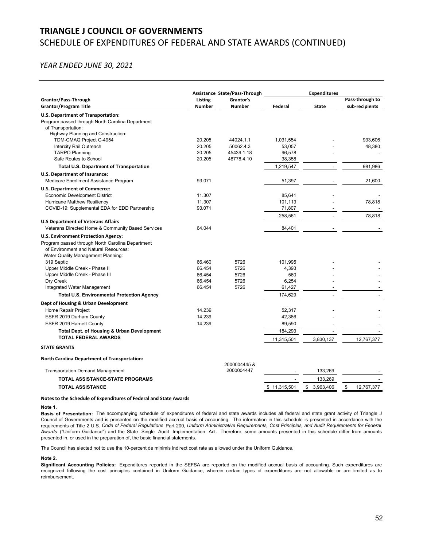## **TRIANGLE J COUNCIL OF GOVERNMENTS** SCHEDULE OF EXPENDITURES OF FEDERAL AND STATE AWARDS (CONTINUED)

### *YEAR ENDED JUNE 30, 2021*

|                                                                   |               | Assistance State/Pass-Through |              | <b>Expenditures</b> |                  |
|-------------------------------------------------------------------|---------------|-------------------------------|--------------|---------------------|------------------|
| Grantor/Pass-Through                                              | Listing       | Grantor's                     |              |                     | Pass-through to  |
| <b>Grantor/Program Title</b>                                      | <b>Number</b> | <b>Number</b>                 | Federal      | <b>State</b>        | sub-recipients   |
| U.S. Department of Transportation:                                |               |                               |              |                     |                  |
| Program passed through North Carolina Department                  |               |                               |              |                     |                  |
| of Transportation:                                                |               |                               |              |                     |                  |
| Highway Planning and Construction:                                |               |                               |              |                     |                  |
| TDM-CMAQ Project C-4954                                           | 20.205        | 44024.1.1                     | 1,031,554    |                     | 933.606          |
| Intercity Rail Outreach                                           | 20.205        | 50062.4.3                     | 53,057       |                     | 48,380           |
| <b>TARPO Planning</b>                                             | 20.205        | 45439.1.18                    | 96,578       |                     |                  |
| Safe Routes to School                                             | 20.205        | 48778.4.10                    | 38,358       |                     |                  |
| <b>Total U.S. Department of Transportation</b>                    |               |                               | 1,219,547    |                     | 981.986          |
| U.S. Department of Insurance:                                     |               |                               |              |                     |                  |
| Medicare Enrollment Assistance Program                            | 93.071        |                               | 51,397       |                     | 21,600           |
| U.S. Department of Commerce:                                      |               |                               |              |                     |                  |
| <b>Economic Development District</b>                              | 11.307        |                               | 85,641       |                     |                  |
| Hurricane Matthew Resiliency                                      | 11.307        |                               | 101,113      |                     | 78.818           |
| COVID-19: Supplemental EDA for EDD Partnership                    | 93.071        |                               | 71,807       |                     |                  |
|                                                                   |               |                               | 258,561      |                     | 78.818           |
| <b>U.S Department of Veterans Affairs</b>                         |               |                               |              |                     |                  |
| Veterans Directed Home & Community Based Services                 | 64.044        |                               | 84,401       |                     |                  |
| U.S. Environment Protection Agency:                               |               |                               |              |                     |                  |
| Program passed through North Carolina Department                  |               |                               |              |                     |                  |
| of Environment and Natural Resources:                             |               |                               |              |                     |                  |
| Water Quality Management Planning:                                |               |                               |              |                     |                  |
| 319 Septic                                                        | 66.460        | 5726                          | 101,995      |                     |                  |
| Upper Middle Creek - Phase II                                     | 66.454        | 5726                          | 4,393        |                     |                  |
| Upper Middle Creek - Phase III                                    | 66.454        | 5726                          | 560          |                     |                  |
| Dry Creek                                                         | 66.454        | 5726                          | 6,254        |                     |                  |
| Integrated Water Management                                       | 66.454        | 5726                          | 61,427       |                     |                  |
| <b>Total U.S. Environmental Protection Agency</b>                 |               |                               | 174,629      |                     |                  |
| Dept of Housing & Urban Development                               |               |                               |              |                     |                  |
| Home Repair Project                                               | 14.239        |                               | 52,317       |                     |                  |
| ESFR 2019 Durham County                                           | 14.239        |                               | 42,386       |                     |                  |
| ESFR 2019 Harnett County                                          | 14.239        |                               | 89,590       |                     |                  |
| Total Dept. of Housing & Urban Development                        |               |                               | 184,293      |                     |                  |
| <b>TOTAL FEDERAL AWARDS</b>                                       |               |                               | 11,315,501   | 3,830,137           | 12,767,377       |
| <b>STATE GRANTS</b>                                               |               |                               |              |                     |                  |
| <b>North Carolina Department of Transportation:</b>               |               |                               |              |                     |                  |
|                                                                   |               | 2000004445&                   |              |                     |                  |
| <b>Transportation Demand Management</b>                           |               | 2000004447                    |              | 133,269             |                  |
| TOTAL ASSISTANCE-STATE PROGRAMS                                   |               |                               |              | 133,269             |                  |
| <b>TOTAL ASSISTANCE</b>                                           |               |                               | \$11,315,501 | \$<br>3,963,406     | \$<br>12,767,377 |
| Notes to the Schedule of Expenditures of Federal and State Awards |               |                               |              |                     |                  |

#### **Note 1.**

**Basis of Presentation:** The accompanying schedule of expenditures of federal and state awards includes all federal and state grant activity of Triangle J Council of Governments and is presented on the modified accrual basis of accounting. The information in this schedule is presented in accordance with the requirements of Title 2 U.S. *Code of Federal Regulations* Part 200, *Uniform Administrative Requirements, Cost Principles, and Audit Requirements for Federal Awards* ("Uniform Guidance") and the State Single Audit Implementation Act. Therefore, some amounts presented in this schedule differ from amounts presented in, or used in the preparation of, the basic financial statements.

The Council has elected not to use the 10-percent de minimis indirect cost rate as allowed under the Uniform Guidance.

#### **Note 2.**

**Significant Accounting Policies:** Expenditures reported in the SEFSA are reported on the modified accrual basis of accounting. Such expenditures are recognized following the cost principles contained in Uniform Guidance, wherein certain types of expenditures are not allowable or are limited as to reimbursement.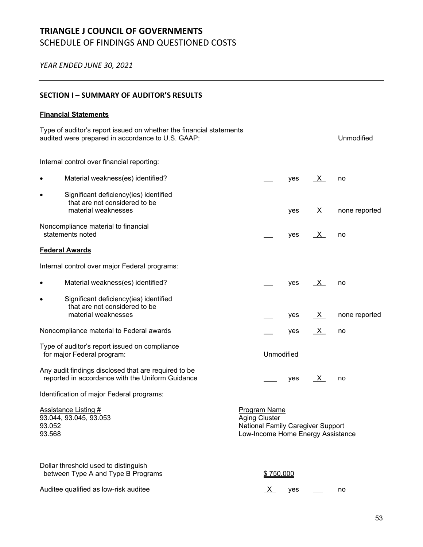## **TRIANGLE J COUNCIL OF GOVERNMENTS** SCHEDULE OF FINDINGS AND QUESTIONED COSTS

*YEAR ENDED JUNE 30, 2021*

## **SECTION I – SUMMARY OF AUDITOR'S RESULTS**

## **Financial Statements**

|                  | Type of auditor's report issued on whether the financial statements<br>audited were prepared in accordance to U.S. GAAP: |                                                                                                                       |            |     |              | Unmodified    |
|------------------|--------------------------------------------------------------------------------------------------------------------------|-----------------------------------------------------------------------------------------------------------------------|------------|-----|--------------|---------------|
|                  | Internal control over financial reporting:                                                                               |                                                                                                                       |            |     |              |               |
|                  | Material weakness(es) identified?                                                                                        |                                                                                                                       |            | yes | <u>X</u>     | no            |
| $\bullet$        | Significant deficiency(ies) identified<br>that are not considered to be<br>material weaknesses                           |                                                                                                                       |            | yes | $\mathsf{X}$ | none reported |
|                  | Noncompliance material to financial<br>statements noted                                                                  |                                                                                                                       |            | yes | <u>_X _</u>  | no            |
|                  | <b>Federal Awards</b>                                                                                                    |                                                                                                                       |            |     |              |               |
|                  | Internal control over major Federal programs:                                                                            |                                                                                                                       |            |     |              |               |
|                  | Material weakness(es) identified?                                                                                        |                                                                                                                       |            | yes | <u>X</u>     | no            |
| ٠                | Significant deficiency(ies) identified<br>that are not considered to be<br>material weaknesses                           |                                                                                                                       |            | yes | <u>X</u>     | none reported |
|                  | Noncompliance material to Federal awards                                                                                 |                                                                                                                       |            | yes | $\mathsf{X}$ | no            |
|                  | Type of auditor's report issued on compliance<br>for major Federal program:                                              |                                                                                                                       | Unmodified |     |              |               |
|                  | Any audit findings disclosed that are required to be<br>reported in accordance with the Uniform Guidance                 |                                                                                                                       |            | yes | <u>_X_</u>   | no            |
|                  | Identification of major Federal programs:                                                                                |                                                                                                                       |            |     |              |               |
| 93.052<br>93.568 | Assistance Listing #<br>93.044, 93.045, 93.053                                                                           | <b>Program Name</b><br><b>Aging Cluster</b><br>National Family Caregiver Support<br>Low-Income Home Energy Assistance |            |     |              |               |
|                  | Dollar threshold used to distinguish<br>between Type A and Type B Programs                                               |                                                                                                                       | \$750,000  |     |              |               |
|                  | Auditee qualified as low-risk auditee                                                                                    |                                                                                                                       | <u>х</u>   | yes |              | no            |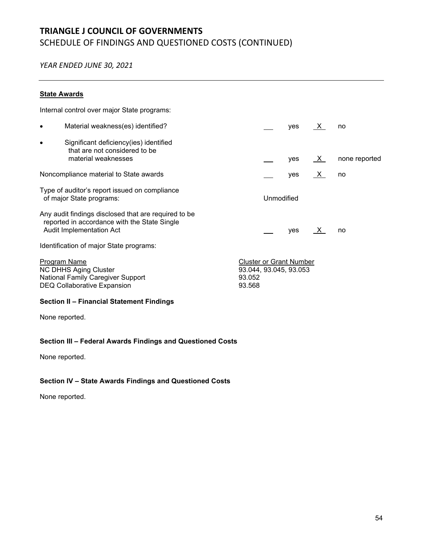## **TRIANGLE J COUNCIL OF GOVERNMENTS** SCHEDULE OF FINDINGS AND QUESTIONED COSTS (CONTINUED)

*YEAR ENDED JUNE 30, 2021*

### **State Awards**

Internal control over major State programs:

| Material weakness(es) identified?                                                                                                |                                                          | yes        | X.      | no            |  |  |
|----------------------------------------------------------------------------------------------------------------------------------|----------------------------------------------------------|------------|---------|---------------|--|--|
| Significant deficiency(ies) identified<br>$\bullet$<br>that are not considered to be<br>material weaknesses                      |                                                          | yes        | $X_{-}$ | none reported |  |  |
|                                                                                                                                  |                                                          |            |         |               |  |  |
| Noncompliance material to State awards                                                                                           |                                                          | yes        | X.      | no            |  |  |
| Type of auditor's report issued on compliance<br>of major State programs:                                                        |                                                          | Unmodified |         |               |  |  |
| Any audit findings disclosed that are required to be<br>reported in accordance with the State Single<br>Audit Implementation Act |                                                          | yes        | X.      | no            |  |  |
| Identification of major State programs:                                                                                          |                                                          |            |         |               |  |  |
| Program Name<br><b>NC DHHS Aging Cluster</b>                                                                                     | <b>Cluster or Grant Number</b><br>93.044, 93.045, 93.053 |            |         |               |  |  |
| <b>National Family Caregiver Support</b>                                                                                         | 93.052                                                   |            |         |               |  |  |
| <b>DEQ Collaborative Expansion</b>                                                                                               | 93.568                                                   |            |         |               |  |  |

### **Section II – Financial Statement Findings**

None reported.

### **Section III – Federal Awards Findings and Questioned Costs**

None reported.

### **Section IV – State Awards Findings and Questioned Costs**

None reported.